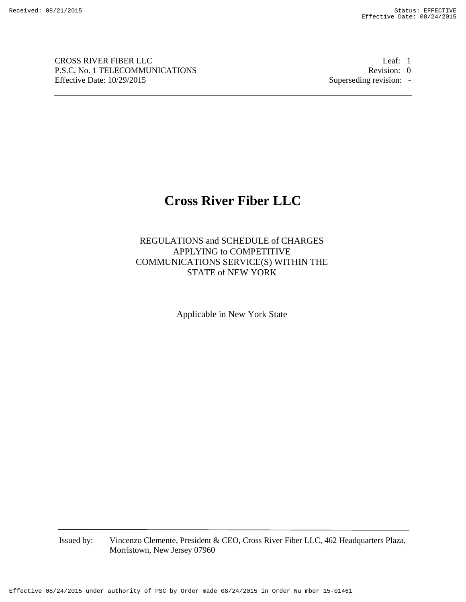CROSS RIVER FIBER LLC Leaf: 1 P.S.C. No. 1 TELECOMMUNICATIONS Revision: 0 Effective Date: 10/29/2015 Superseding revision: -

# **Cross River Fiber LLC**

REGULATIONS and SCHEDULE of CHARGES APPLYING to COMPETITIVE COMMUNICATIONS SERVICE(S) WITHIN THE STATE of NEW YORK

Applicable in New York State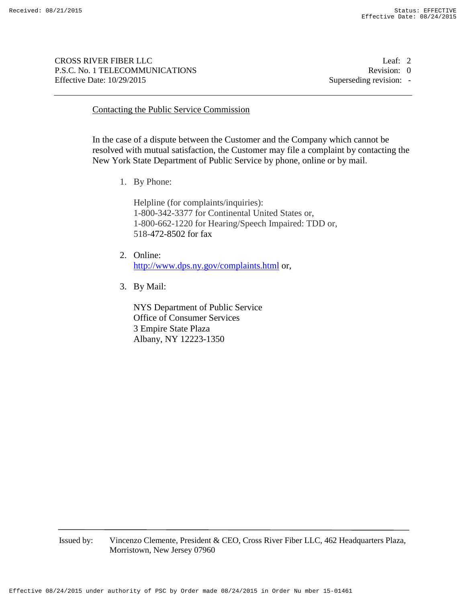CROSS RIVER FIBER LLC Leaf: 2 P.S.C. No. 1 TELECOMMUNICATIONS Revision: 0 Effective Date:  $10/29/2015$  Superseding revision: -

## Contacting the Public Service Commission

In the case of a dispute between the Customer and the Company which cannot be resolved with mutual satisfaction, the Customer may file a complaint by contacting the New York State Department of Public Service by phone, online or by mail.

1. By Phone:

Helpline (for complaints/inquiries): 1-800-342-3377 for Continental United States or, 1-800-662-1220 for Hearing/Speech Impaired: TDD or, 518-472-8502 for fax

- 2. Online: http://www.dps.ny.gov/complaints.html or,
- 3. By Mail:

NYS Department of Public Service Office of Consumer Services 3 Empire State Plaza Albany, NY 12223-1350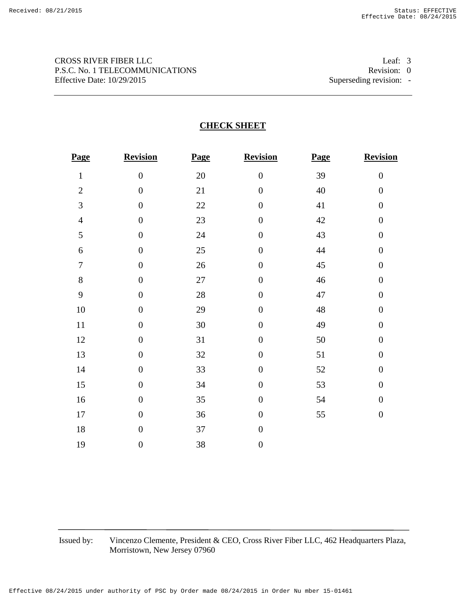# CROSS RIVER FIBER LLC Leaf: 3 P.S.C. No. 1 TELECOMMUNICATIONS Revision: 0 Effective Date: 10/29/2015 Superseding revision: -

# **CHECK SHEET**

| Page             | <b>Revision</b>  | Page   | Revision         | Page | Revision         |
|------------------|------------------|--------|------------------|------|------------------|
| $\mathbf{1}$     | $\boldsymbol{0}$ | 20     | $\boldsymbol{0}$ | 39   | $\boldsymbol{0}$ |
| $\overline{2}$   | $\overline{0}$   | 21     | $\boldsymbol{0}$ | 40   | $\boldsymbol{0}$ |
| 3                | $\boldsymbol{0}$ | 22     | $\boldsymbol{0}$ | 41   | $\boldsymbol{0}$ |
| $\overline{4}$   | $\boldsymbol{0}$ | 23     | $\boldsymbol{0}$ | 42   | $\boldsymbol{0}$ |
| 5                | $\boldsymbol{0}$ | 24     | $\boldsymbol{0}$ | 43   | $\boldsymbol{0}$ |
| 6                | $\boldsymbol{0}$ | 25     | $\boldsymbol{0}$ | 44   | $\boldsymbol{0}$ |
| $\boldsymbol{7}$ | $\boldsymbol{0}$ | 26     | $\boldsymbol{0}$ | 45   | $\boldsymbol{0}$ |
| 8                | $\boldsymbol{0}$ | $27\,$ | $\boldsymbol{0}$ | 46   | $\boldsymbol{0}$ |
| 9                | $\boldsymbol{0}$ | 28     | $\overline{0}$   | 47   | $\boldsymbol{0}$ |
| 10               | $\boldsymbol{0}$ | 29     | $\boldsymbol{0}$ | 48   | $\boldsymbol{0}$ |
| 11               | $\boldsymbol{0}$ | 30     | $\boldsymbol{0}$ | 49   | $\boldsymbol{0}$ |
| 12               | $\boldsymbol{0}$ | 31     | $\boldsymbol{0}$ | 50   | $\boldsymbol{0}$ |
| 13               | $\boldsymbol{0}$ | 32     | $\boldsymbol{0}$ | 51   | $\boldsymbol{0}$ |
| 14               | $\boldsymbol{0}$ | 33     | $\boldsymbol{0}$ | 52   | $\boldsymbol{0}$ |
| 15               | $\boldsymbol{0}$ | 34     | $\boldsymbol{0}$ | 53   | $\boldsymbol{0}$ |
| 16               | $\boldsymbol{0}$ | 35     | $\boldsymbol{0}$ | 54   | $\boldsymbol{0}$ |
| 17               | $\boldsymbol{0}$ | 36     | $\boldsymbol{0}$ | 55   | $\boldsymbol{0}$ |
| $18\,$           | $\boldsymbol{0}$ | 37     | $\boldsymbol{0}$ |      |                  |
| 19               | $\boldsymbol{0}$ | 38     | $\boldsymbol{0}$ |      |                  |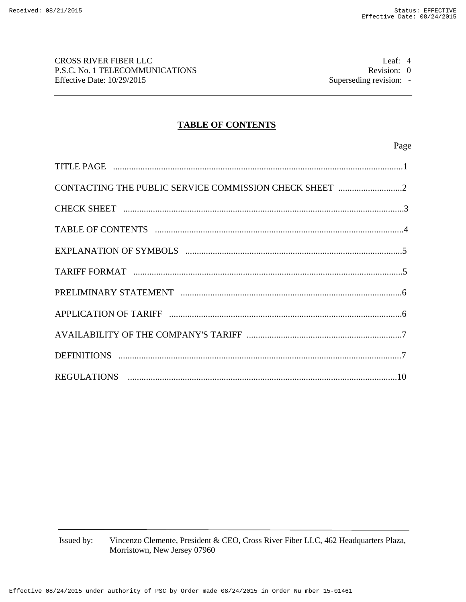CROSS RIVER FIBER LLC Leaf: 4 P.S.C. No. 1 TELECOMMUNICATIONS Revision: 0 Effective Date: 10/29/2015 Superseding revision: -

# **TABLE OF CONTENTS**

## Page

| CONTACTING THE PUBLIC SERVICE COMMISSION CHECK SHEET 2 |  |
|--------------------------------------------------------|--|
|                                                        |  |
|                                                        |  |
|                                                        |  |
|                                                        |  |
|                                                        |  |
|                                                        |  |
|                                                        |  |
|                                                        |  |
|                                                        |  |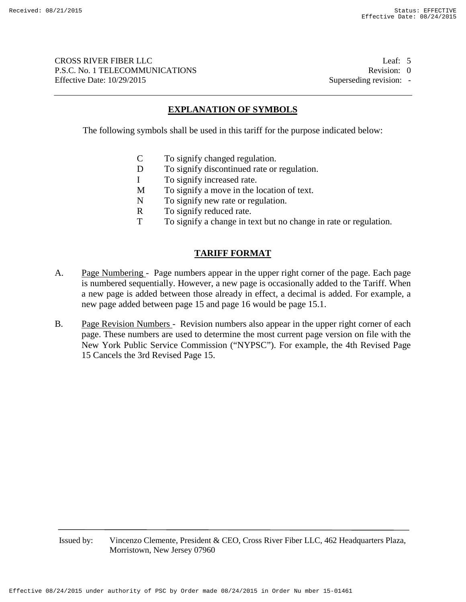CROSS RIVER FIBER LLC Leaf: 5 P.S.C. No. 1 TELECOMMUNICATIONS Revision: 0 Effective Date:  $10/29/2015$  Superseding revision: -

## **EXPLANATION OF SYMBOLS**

The following symbols shall be used in this tariff for the purpose indicated below:

- C To signify changed regulation.
- D To signify discontinued rate or regulation.
- I To signify increased rate.
- M To signify a move in the location of text.
- N To signify new rate or regulation.
- R To signify reduced rate.
- T To signify a change in text but no change in rate or regulation.

## **TARIFF FORMAT**

- A. Page Numbering Page numbers appear in the upper right corner of the page. Each page is numbered sequentially. However, a new page is occasionally added to the Tariff. When a new page is added between those already in effect, a decimal is added. For example, a new page added between page 15 and page 16 would be page 15.1.
- B. Page Revision Numbers Revision numbers also appear in the upper right corner of each page. These numbers are used to determine the most current page version on file with the New York Public Service Commission ("NYPSC"). For example, the 4th Revised Page 15 Cancels the 3rd Revised Page 15.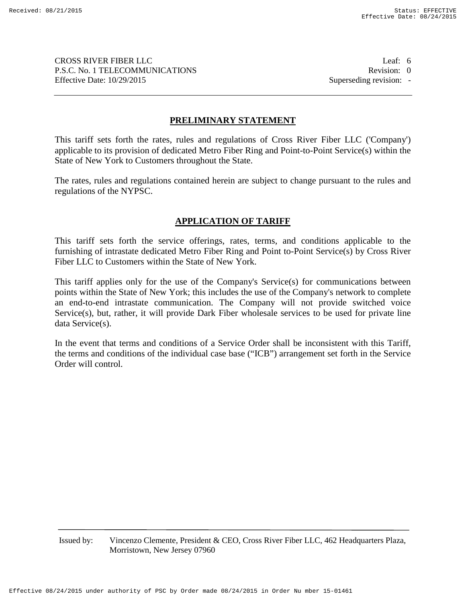CROSS RIVER FIBER LLC Leaf: 6 P.S.C. No. 1 TELECOMMUNICATIONS Revision: 0 Effective Date:  $10/29/2015$  Superseding revision: -

# **PRELIMINARY STATEMENT**

This tariff sets forth the rates, rules and regulations of Cross River Fiber LLC ('Company') applicable to its provision of dedicated Metro Fiber Ring and Point-to-Point Service(s) within the State of New York to Customers throughout the State.

The rates, rules and regulations contained herein are subject to change pursuant to the rules and regulations of the NYPSC.

# **APPLICATION OF TARIFF**

This tariff sets forth the service offerings, rates, terms, and conditions applicable to the furnishing of intrastate dedicated Metro Fiber Ring and Point to-Point Service(s) by Cross River Fiber LLC to Customers within the State of New York.

This tariff applies only for the use of the Company's Service(s) for communications between points within the State of New York; this includes the use of the Company's network to complete an end-to-end intrastate communication. The Company will not provide switched voice Service(s), but, rather, it will provide Dark Fiber wholesale services to be used for private line data Service(s).

In the event that terms and conditions of a Service Order shall be inconsistent with this Tariff, the terms and conditions of the individual case base ("ICB") arrangement set forth in the Service Order will control.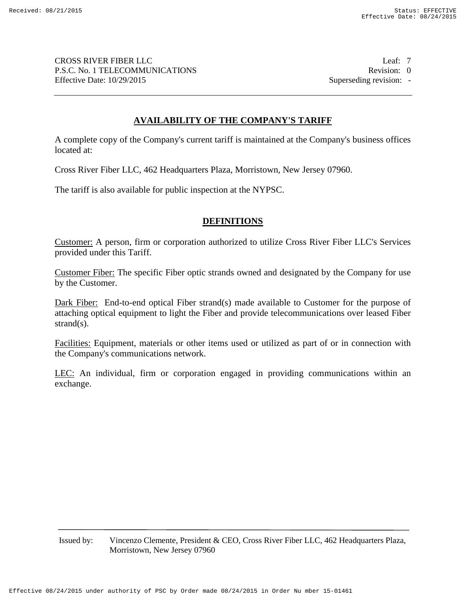CROSS RIVER FIBER LLC Leaf: 7 P.S.C. No. 1 TELECOMMUNICATIONS Revision: 0 Effective Date:  $10/29/2015$  Superseding revision: -

# **AVAILABILITY OF THE COMPANY'S TARIFF**

A complete copy of the Company's current tariff is maintained at the Company's business offices located at:

Cross River Fiber LLC, 462 Headquarters Plaza, Morristown, New Jersey 07960.

The tariff is also available for public inspection at the NYPSC.

## **DEFINITIONS**

Customer: A person, firm or corporation authorized to utilize Cross River Fiber LLC's Services provided under this Tariff.

Customer Fiber: The specific Fiber optic strands owned and designated by the Company for use by the Customer.

Dark Fiber: End-to-end optical Fiber strand(s) made available to Customer for the purpose of attaching optical equipment to light the Fiber and provide telecommunications over leased Fiber strand(s).

Facilities: Equipment, materials or other items used or utilized as part of or in connection with the Company's communications network.

LEC: An individual, firm or corporation engaged in providing communications within an exchange.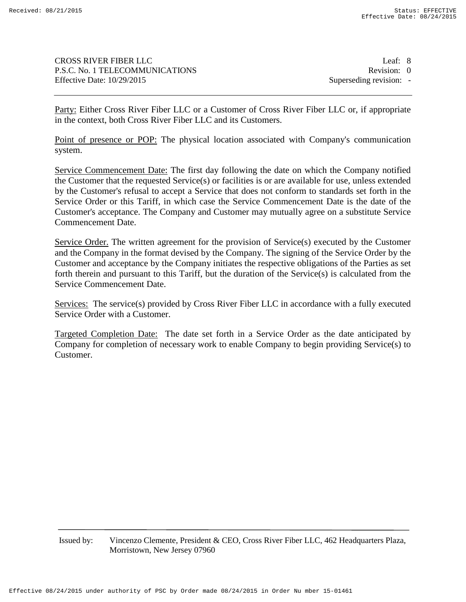CROSS RIVER FIBER LLC Leaf: 8 P.S.C. No. 1 TELECOMMUNICATIONS Revision: 0 Effective Date:  $10/29/2015$  Superseding revision: -

Party: Either Cross River Fiber LLC or a Customer of Cross River Fiber LLC or, if appropriate in the context, both Cross River Fiber LLC and its Customers.

Point of presence or POP: The physical location associated with Company's communication system.

Service Commencement Date: The first day following the date on which the Company notified the Customer that the requested Service(s) or facilities is or are available for use, unless extended by the Customer's refusal to accept a Service that does not conform to standards set forth in the Service Order or this Tariff, in which case the Service Commencement Date is the date of the Customer's acceptance. The Company and Customer may mutually agree on a substitute Service Commencement Date.

Service Order. The written agreement for the provision of Service(s) executed by the Customer and the Company in the format devised by the Company. The signing of the Service Order by the Customer and acceptance by the Company initiates the respective obligations of the Parties as set forth therein and pursuant to this Tariff, but the duration of the Service(s) is calculated from the Service Commencement Date.

Services: The service(s) provided by Cross River Fiber LLC in accordance with a fully executed Service Order with a Customer.

Targeted Completion Date: The date set forth in a Service Order as the date anticipated by Company for completion of necessary work to enable Company to begin providing Service(s) to Customer.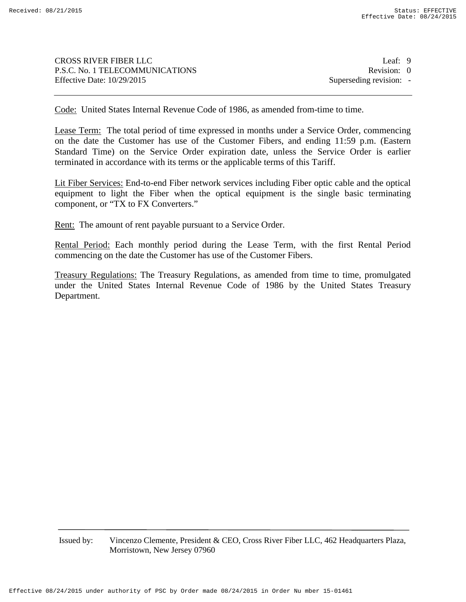CROSS RIVER FIBER LLC Leaf: 9 P.S.C. No. 1 TELECOMMUNICATIONS Revision: 0 Effective Date:  $10/29/2015$  Superseding revision: -

Code: United States Internal Revenue Code of 1986, as amended from-time to time.

Lease Term: The total period of time expressed in months under a Service Order, commencing on the date the Customer has use of the Customer Fibers, and ending 11:59 p.m. (Eastern Standard Time) on the Service Order expiration date, unless the Service Order is earlier terminated in accordance with its terms or the applicable terms of this Tariff.

Lit Fiber Services: End-to-end Fiber network services including Fiber optic cable and the optical equipment to light the Fiber when the optical equipment is the single basic terminating component, or "TX to FX Converters."

Rent: The amount of rent payable pursuant to a Service Order.

Rental Period: Each monthly period during the Lease Term, with the first Rental Period commencing on the date the Customer has use of the Customer Fibers.

Treasury Regulations: The Treasury Regulations, as amended from time to time, promulgated under the United States Internal Revenue Code of 1986 by the United States Treasury Department.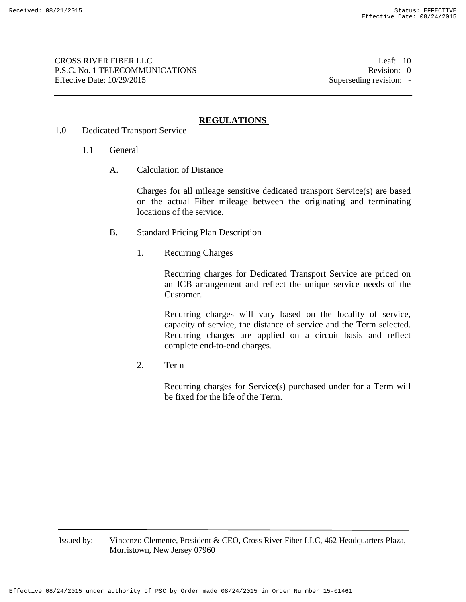CROSS RIVER FIBER LLC Leaf: 10 P.S.C. No. 1 TELECOMMUNICATIONS Revision: 0 Effective Date:  $10/29/2015$  Superseding revision: -

# **REGULATIONS**

- 1.0 Dedicated Transport Service
	- 1.1 General
		- A. Calculation of Distance

Charges for all mileage sensitive dedicated transport Service(s) are based on the actual Fiber mileage between the originating and terminating locations of the service.

- B. Standard Pricing Plan Description
	- 1. Recurring Charges

Recurring charges for Dedicated Transport Service are priced on an ICB arrangement and reflect the unique service needs of the Customer.

Recurring charges will vary based on the locality of service, capacity of service, the distance of service and the Term selected. Recurring charges are applied on a circuit basis and reflect complete end-to-end charges.

2. Term

Recurring charges for Service(s) purchased under for a Term will be fixed for the life of the Term.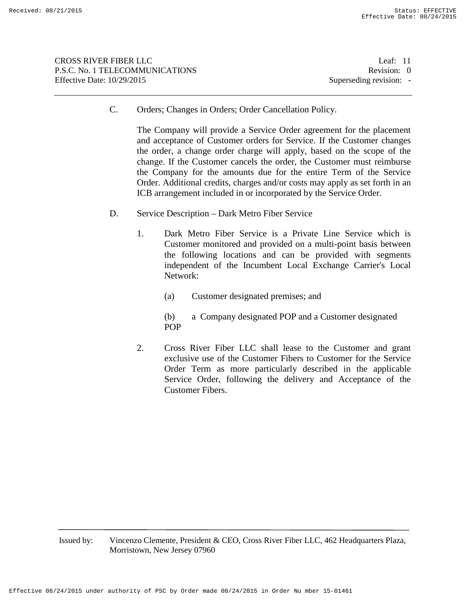| <b>CROSS RIVER FIBER LLC</b>    | Leaf: $11$              |
|---------------------------------|-------------------------|
| P.S.C. No. 1 TELECOMMUNICATIONS | Revision: 0             |
| Effective Date: $10/29/2015$    | Superseding revision: - |
|                                 |                         |

C. Orders; Changes in Orders; Order Cancellation Policy.

The Company will provide a Service Order agreement for the placement and acceptance of Customer orders for Service. If the Customer changes the order, a change order charge will apply, based on the scope of the change. If the Customer cancels the order, the Customer must reimburse the Company for the amounts due for the entire Term of the Service Order. Additional credits, charges and/or costs may apply as set forth in an ICB arrangement included in or incorporated by the Service Order.

- D. Service Description Dark Metro Fiber Service
	- 1. Dark Metro Fiber Service is a Private Line Service which is Customer monitored and provided on a multi-point basis between the following locations and can be provided with segments independent of the Incumbent Local Exchange Carrier's Local Network:
		- (a) Customer designated premises; and
		- (b) a Company designated POP and a Customer designated POP
	- 2. Cross River Fiber LLC shall lease to the Customer and grant exclusive use of the Customer Fibers to Customer for the Service Order Term as more particularly described in the applicable Service Order, following the delivery and Acceptance of the Customer Fibers.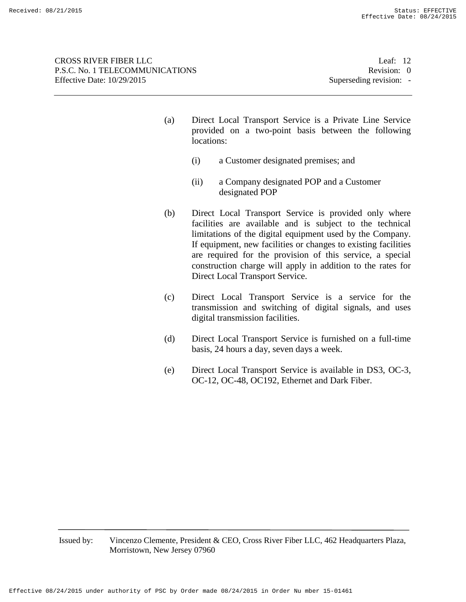CROSS RIVER FIBER LLC Leaf: 12 P.S.C. No. 1 TELECOMMUNICATIONS Revision: 0 Effective Date:  $10/29/2015$  Superseding revision: -

- (a) Direct Local Transport Service is a Private Line Service provided on a two-point basis between the following locations:
	- (i) a Customer designated premises; and
	- (ii) a Company designated POP and a Customer designated POP
- (b) Direct Local Transport Service is provided only where facilities are available and is subject to the technical limitations of the digital equipment used by the Company. If equipment, new facilities or changes to existing facilities are required for the provision of this service, a special construction charge will apply in addition to the rates for Direct Local Transport Service.
- (c) Direct Local Transport Service is a service for the transmission and switching of digital signals, and uses digital transmission facilities.
- (d) Direct Local Transport Service is furnished on a full-time basis, 24 hours a day, seven days a week.
- (e) Direct Local Transport Service is available in DS3, OC-3, OC-12, OC-48, OC192, Ethernet and Dark Fiber.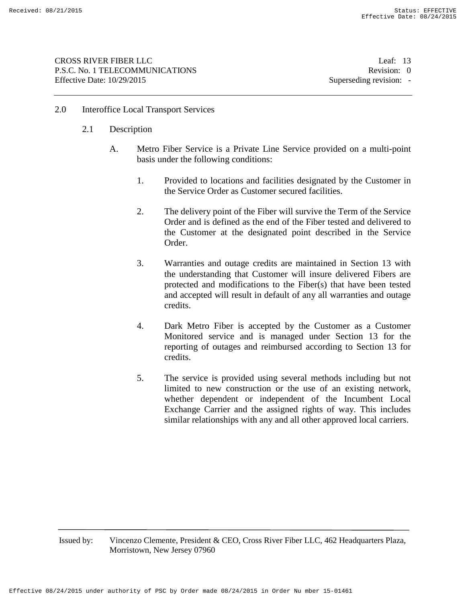## 2.0 Interoffice Local Transport Services

- 2.1 Description
	- A. Metro Fiber Service is a Private Line Service provided on a multi-point basis under the following conditions:
		- 1. Provided to locations and facilities designated by the Customer in the Service Order as Customer secured facilities.
		- 2. The delivery point of the Fiber will survive the Term of the Service Order and is defined as the end of the Fiber tested and delivered to the Customer at the designated point described in the Service Order.
		- 3. Warranties and outage credits are maintained in Section 13 with the understanding that Customer will insure delivered Fibers are protected and modifications to the Fiber(s) that have been tested and accepted will result in default of any all warranties and outage credits.
		- 4. Dark Metro Fiber is accepted by the Customer as a Customer Monitored service and is managed under Section 13 for the reporting of outages and reimbursed according to Section 13 for credits.
		- 5. The service is provided using several methods including but not limited to new construction or the use of an existing network, whether dependent or independent of the Incumbent Local Exchange Carrier and the assigned rights of way. This includes similar relationships with any and all other approved local carriers.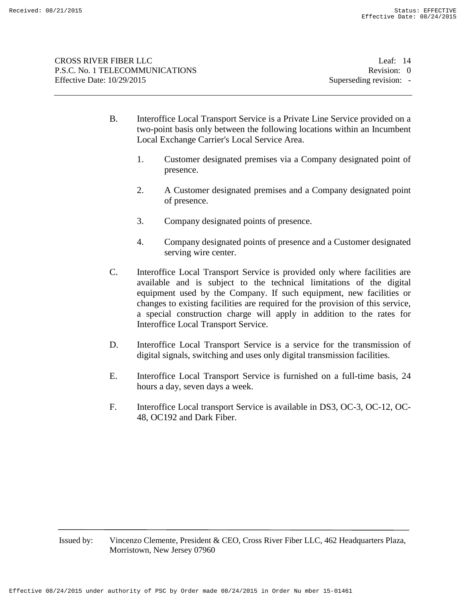- B. Interoffice Local Transport Service is a Private Line Service provided on a two-point basis only between the following locations within an Incumbent Local Exchange Carrier's Local Service Area.
	- 1. Customer designated premises via a Company designated point of presence.
	- 2. A Customer designated premises and a Company designated point of presence.
	- 3. Company designated points of presence.
	- 4. Company designated points of presence and a Customer designated serving wire center.
- C. Interoffice Local Transport Service is provided only where facilities are available and is subject to the technical limitations of the digital equipment used by the Company. If such equipment, new facilities or changes to existing facilities are required for the provision of this service, a special construction charge will apply in addition to the rates for Interoffice Local Transport Service.
- D. Interoffice Local Transport Service is a service for the transmission of digital signals, switching and uses only digital transmission facilities.
- E. Interoffice Local Transport Service is furnished on a full-time basis, 24 hours a day, seven days a week.
- F. Interoffice Local transport Service is available in DS3, OC-3, OC-12, OC-48, OC192 and Dark Fiber.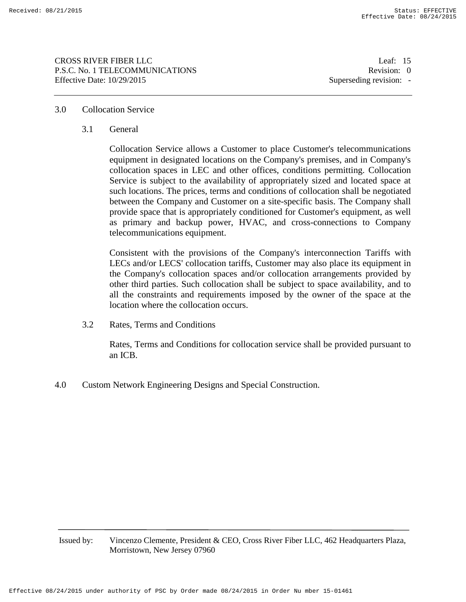CROSS RIVER FIBER LLC Leaf: 15 P.S.C. No. 1 TELECOMMUNICATIONS Revision: 0 Effective Date:  $10/29/2015$  Superseding revision: -

## 3.0 Collocation Service

3.1 General

Collocation Service allows a Customer to place Customer's telecommunications equipment in designated locations on the Company's premises, and in Company's collocation spaces in LEC and other offices, conditions permitting. Collocation Service is subject to the availability of appropriately sized and located space at such locations. The prices, terms and conditions of collocation shall be negotiated between the Company and Customer on a site-specific basis. The Company shall provide space that is appropriately conditioned for Customer's equipment, as well as primary and backup power, HVAC, and cross-connections to Company telecommunications equipment.

Consistent with the provisions of the Company's interconnection Tariffs with LECs and/or LECS' collocation tariffs, Customer may also place its equipment in the Company's collocation spaces and/or collocation arrangements provided by other third parties. Such collocation shall be subject to space availability, and to all the constraints and requirements imposed by the owner of the space at the location where the collocation occurs.

3.2 Rates, Terms and Conditions

Rates, Terms and Conditions for collocation service shall be provided pursuant to an ICB.

4.0 Custom Network Engineering Designs and Special Construction.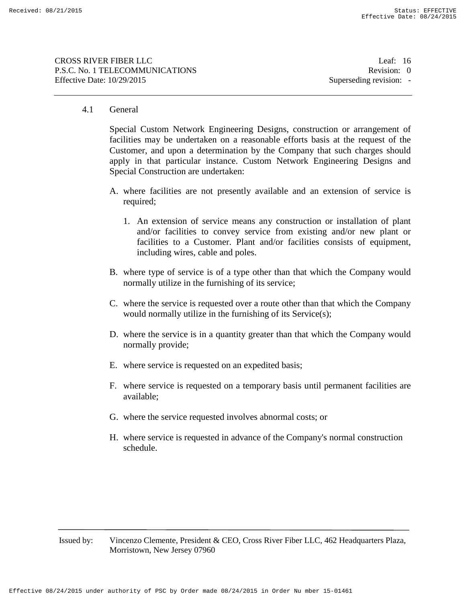CROSS RIVER FIBER LLC Leaf: 16 P.S.C. No. 1 TELECOMMUNICATIONS Revision: 0 Effective Date:  $10/29/2015$  Superseding revision: -

## 4.1 General

Special Custom Network Engineering Designs, construction or arrangement of facilities may be undertaken on a reasonable efforts basis at the request of the Customer, and upon a determination by the Company that such charges should apply in that particular instance. Custom Network Engineering Designs and Special Construction are undertaken:

- A. where facilities are not presently available and an extension of service is required;
	- 1. An extension of service means any construction or installation of plant and/or facilities to convey service from existing and/or new plant or facilities to a Customer. Plant and/or facilities consists of equipment, including wires, cable and poles.
- B. where type of service is of a type other than that which the Company would normally utilize in the furnishing of its service;
- C. where the service is requested over a route other than that which the Company would normally utilize in the furnishing of its Service(s);
- D. where the service is in a quantity greater than that which the Company would normally provide;
- E. where service is requested on an expedited basis;
- F. where service is requested on a temporary basis until permanent facilities are available;
- G. where the service requested involves abnormal costs; or
- H. where service is requested in advance of the Company's normal construction schedule.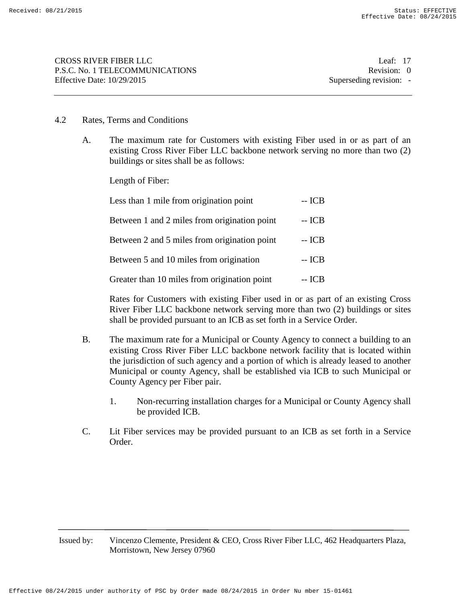## 4.2 Rates, Terms and Conditions

A. The maximum rate for Customers with existing Fiber used in or as part of an existing Cross River Fiber LLC backbone network serving no more than two (2) buildings or sites shall be as follows:

Length of Fiber:

| Less than 1 mile from origination point      | -- ICB |
|----------------------------------------------|--------|
| Between 1 and 2 miles from origination point | -- ICB |
| Between 2 and 5 miles from origination point | -- ICB |
| Between 5 and 10 miles from origination      | -- ICB |
| Greater than 10 miles from origination point | -- ICB |

Rates for Customers with existing Fiber used in or as part of an existing Cross River Fiber LLC backbone network serving more than two (2) buildings or sites shall be provided pursuant to an ICB as set forth in a Service Order.

- B. The maximum rate for a Municipal or County Agency to connect a building to an existing Cross River Fiber LLC backbone network facility that is located within the jurisdiction of such agency and a portion of which is already leased to another Municipal or county Agency, shall be established via ICB to such Municipal or County Agency per Fiber pair.
	- 1. Non-recurring installation charges for a Municipal or County Agency shall be provided ICB.
- C. Lit Fiber services may be provided pursuant to an ICB as set forth in a Service Order.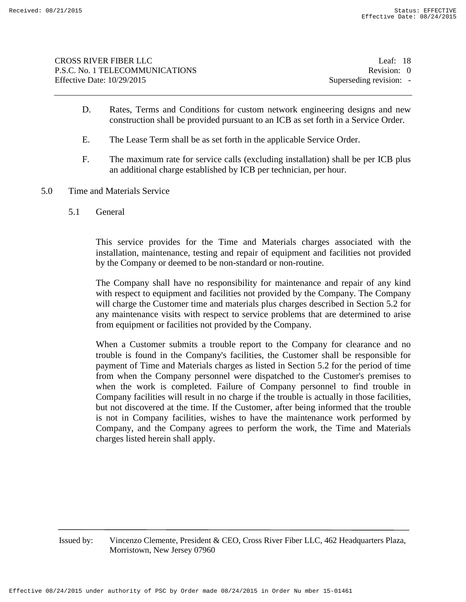| CROSS RIVER FIBER LLC             | Leaf: $18$              |
|-----------------------------------|-------------------------|
| P.S.C. No. 1 TELECOMMUNICATIONS   | Revision: 0             |
| <b>Effective Date: 10/29/2015</b> | Superseding revision: - |
|                                   |                         |

- D. Rates, Terms and Conditions for custom network engineering designs and new construction shall be provided pursuant to an ICB as set forth in a Service Order.
- E. The Lease Term shall be as set forth in the applicable Service Order.
- F. The maximum rate for service calls (excluding installation) shall be per ICB plus an additional charge established by ICB per technician, per hour.
- 5.0 Time and Materials Service
	- 5.1 General

This service provides for the Time and Materials charges associated with the installation, maintenance, testing and repair of equipment and facilities not provided by the Company or deemed to be non-standard or non-routine.

The Company shall have no responsibility for maintenance and repair of any kind with respect to equipment and facilities not provided by the Company. The Company will charge the Customer time and materials plus charges described in Section 5.2 for any maintenance visits with respect to service problems that are determined to arise from equipment or facilities not provided by the Company.

When a Customer submits a trouble report to the Company for clearance and no trouble is found in the Company's facilities, the Customer shall be responsible for payment of Time and Materials charges as listed in Section 5.2 for the period of time from when the Company personnel were dispatched to the Customer's premises to when the work is completed. Failure of Company personnel to find trouble in Company facilities will result in no charge if the trouble is actually in those facilities, but not discovered at the time. If the Customer, after being informed that the trouble is not in Company facilities, wishes to have the maintenance work performed by Company, and the Company agrees to perform the work, the Time and Materials charges listed herein shall apply.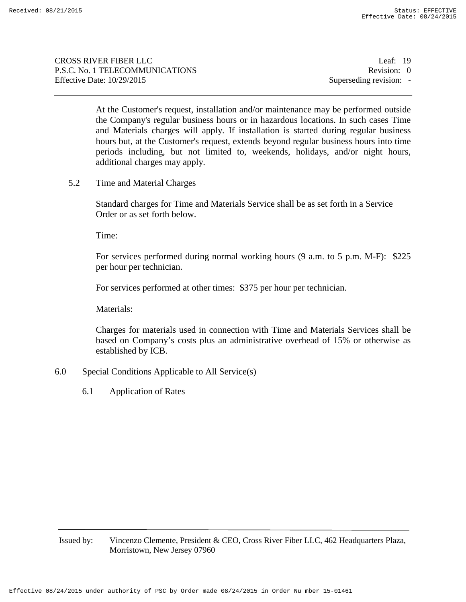CROSS RIVER FIBER LLC Leaf: 19 P.S.C. No. 1 TELECOMMUNICATIONS Revision: 0 Effective Date:  $10/29/2015$  Superseding revision: -

At the Customer's request, installation and/or maintenance may be performed outside the Company's regular business hours or in hazardous locations. In such cases Time and Materials charges will apply. If installation is started during regular business hours but, at the Customer's request, extends beyond regular business hours into time periods including, but not limited to, weekends, holidays, and/or night hours, additional charges may apply.

5.2 Time and Material Charges

Standard charges for Time and Materials Service shall be as set forth in a Service Order or as set forth below.

Time:

For services performed during normal working hours (9 a.m. to 5 p.m. M-F): \$225 per hour per technician.

For services performed at other times: \$375 per hour per technician.

Materials:

Charges for materials used in connection with Time and Materials Services shall be based on Company's costs plus an administrative overhead of 15% or otherwise as established by ICB.

- 6.0 Special Conditions Applicable to All Service(s)
	- 6.1 Application of Rates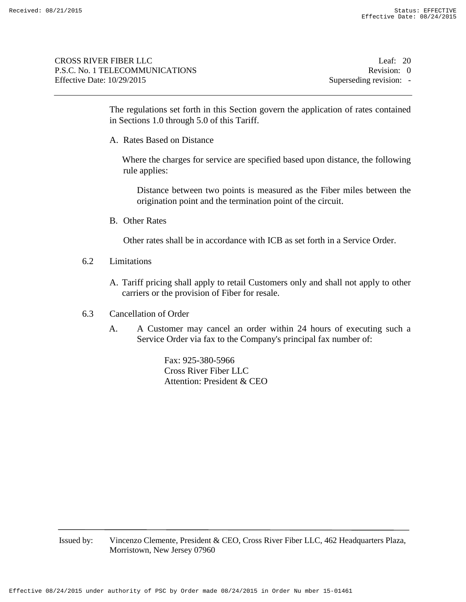| <b>CROSS RIVER FIBER LLC</b>    | Leaf: $20$              |
|---------------------------------|-------------------------|
| P.S.C. No. 1 TELECOMMUNICATIONS | Revision: 0             |
| Effective Date: $10/29/2015$    | Superseding revision: - |

The regulations set forth in this Section govern the application of rates contained in Sections 1.0 through 5.0 of this Tariff.

A. Rates Based on Distance

Where the charges for service are specified based upon distance, the following rule applies:

Distance between two points is measured as the Fiber miles between the origination point and the termination point of the circuit.

B. Other Rates

Other rates shall be in accordance with ICB as set forth in a Service Order.

- 6.2 Limitations
	- A. Tariff pricing shall apply to retail Customers only and shall not apply to other carriers or the provision of Fiber for resale.
- 6.3 Cancellation of Order
	- A. A Customer may cancel an order within 24 hours of executing such a Service Order via fax to the Company's principal fax number of:

Fax: 925-380-5966 Cross River Fiber LLC Attention: President & CEO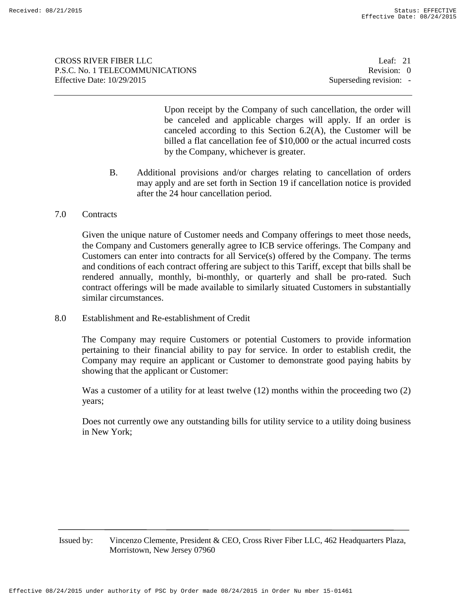CROSS RIVER FIBER LLC Leaf: 21 P.S.C. No. 1 TELECOMMUNICATIONS Revision: 0 Effective Date:  $10/29/2015$  Superseding revision: -

Upon receipt by the Company of such cancellation, the order will be canceled and applicable charges will apply. If an order is canceled according to this Section 6.2(A), the Customer will be billed a flat cancellation fee of \$10,000 or the actual incurred costs by the Company, whichever is greater.

- B. Additional provisions and/or charges relating to cancellation of orders may apply and are set forth in Section 19 if cancellation notice is provided after the 24 hour cancellation period.
- 7.0 Contracts

Given the unique nature of Customer needs and Company offerings to meet those needs, the Company and Customers generally agree to ICB service offerings. The Company and Customers can enter into contracts for all Service(s) offered by the Company. The terms and conditions of each contract offering are subject to this Tariff, except that bills shall be rendered annually, monthly, bi-monthly, or quarterly and shall be pro-rated. Such contract offerings will be made available to similarly situated Customers in substantially similar circumstances.

8.0 Establishment and Re-establishment of Credit

The Company may require Customers or potential Customers to provide information pertaining to their financial ability to pay for service. In order to establish credit, the Company may require an applicant or Customer to demonstrate good paying habits by showing that the applicant or Customer:

Was a customer of a utility for at least twelve (12) months within the proceeding two (2) years;

Does not currently owe any outstanding bills for utility service to a utility doing business in New York;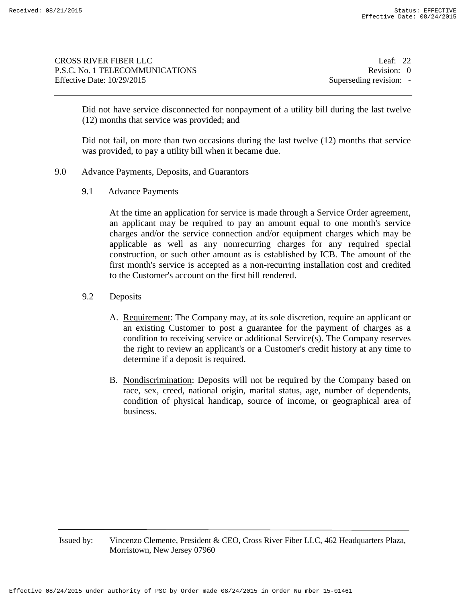CROSS RIVER FIBER LLC Leaf: 22 P.S.C. No. 1 TELECOMMUNICATIONS Revision: 0 Effective Date:  $10/29/2015$  Superseding revision: -

Did not have service disconnected for nonpayment of a utility bill during the last twelve (12) months that service was provided; and

Did not fail, on more than two occasions during the last twelve (12) months that service was provided, to pay a utility bill when it became due.

- 9.0 Advance Payments, Deposits, and Guarantors
	- 9.1 Advance Payments

At the time an application for service is made through a Service Order agreement, an applicant may be required to pay an amount equal to one month's service charges and/or the service connection and/or equipment charges which may be applicable as well as any nonrecurring charges for any required special construction, or such other amount as is established by ICB. The amount of the first month's service is accepted as a non-recurring installation cost and credited to the Customer's account on the first bill rendered.

- 9.2 Deposits
	- A. Requirement: The Company may, at its sole discretion, require an applicant or an existing Customer to post a guarantee for the payment of charges as a condition to receiving service or additional Service(s). The Company reserves the right to review an applicant's or a Customer's credit history at any time to determine if a deposit is required.
	- B. Nondiscrimination: Deposits will not be required by the Company based on race, sex, creed, national origin, marital status, age, number of dependents, condition of physical handicap, source of income, or geographical area of business.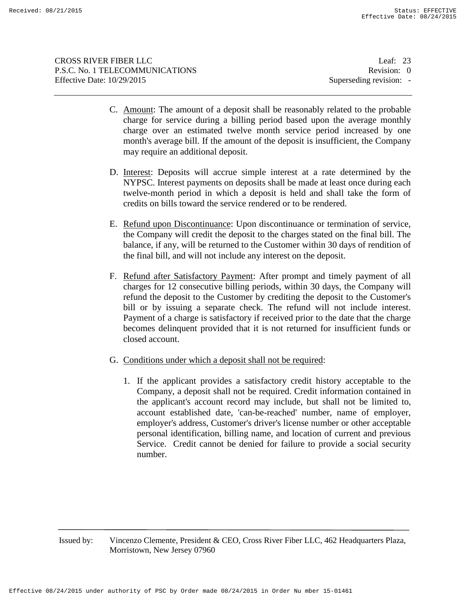| Leaf: $23$              |
|-------------------------|
| Revision: 0             |
| Superseding revision: - |
|                         |

- C. Amount: The amount of a deposit shall be reasonably related to the probable charge for service during a billing period based upon the average monthly charge over an estimated twelve month service period increased by one month's average bill. If the amount of the deposit is insufficient, the Company may require an additional deposit.
- D. Interest: Deposits will accrue simple interest at a rate determined by the NYPSC. Interest payments on deposits shall be made at least once during each twelve-month period in which a deposit is held and shall take the form of credits on bills toward the service rendered or to be rendered.
- E. Refund upon Discontinuance: Upon discontinuance or termination of service, the Company will credit the deposit to the charges stated on the final bill. The balance, if any, will be returned to the Customer within 30 days of rendition of the final bill, and will not include any interest on the deposit.
- F. Refund after Satisfactory Payment: After prompt and timely payment of all charges for 12 consecutive billing periods, within 30 days, the Company will refund the deposit to the Customer by crediting the deposit to the Customer's bill or by issuing a separate check. The refund will not include interest. Payment of a charge is satisfactory if received prior to the date that the charge becomes delinquent provided that it is not returned for insufficient funds or closed account.
- G. Conditions under which a deposit shall not be required:
	- 1. If the applicant provides a satisfactory credit history acceptable to the Company, a deposit shall not be required. Credit information contained in the applicant's account record may include, but shall not be limited to, account established date, 'can-be-reached' number, name of employer, employer's address, Customer's driver's license number or other acceptable personal identification, billing name, and location of current and previous Service. Credit cannot be denied for failure to provide a social security number.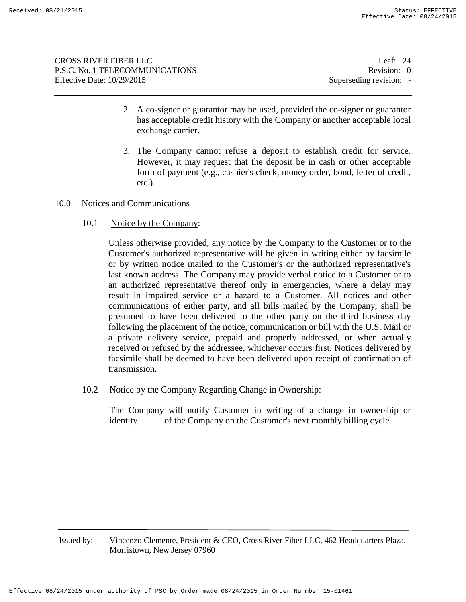CROSS RIVER FIBER LLC Leaf: 24 P.S.C. No. 1 TELECOMMUNICATIONS Revision: 0 Effective Date:  $10/29/2015$  Superseding revision: -

- 2. A co-signer or guarantor may be used, provided the co-signer or guarantor has acceptable credit history with the Company or another acceptable local exchange carrier.
- 3. The Company cannot refuse a deposit to establish credit for service. However, it may request that the deposit be in cash or other acceptable form of payment (e.g., cashier's check, money order, bond, letter of credit, etc.).
- 10.0 Notices and Communications
	- 10.1 Notice by the Company:

Unless otherwise provided, any notice by the Company to the Customer or to the Customer's authorized representative will be given in writing either by facsimile or by written notice mailed to the Customer's or the authorized representative's last known address. The Company may provide verbal notice to a Customer or to an authorized representative thereof only in emergencies, where a delay may result in impaired service or a hazard to a Customer. All notices and other communications of either party, and all bills mailed by the Company, shall be presumed to have been delivered to the other party on the third business day following the placement of the notice, communication or bill with the U.S. Mail or a private delivery service, prepaid and properly addressed, or when actually received or refused by the addressee, whichever occurs first. Notices delivered by facsimile shall be deemed to have been delivered upon receipt of confirmation of transmission.

10.2 Notice by the Company Regarding Change in Ownership:

The Company will notify Customer in writing of a change in ownership or identity of the Company on the Customer's next monthly billing cycle.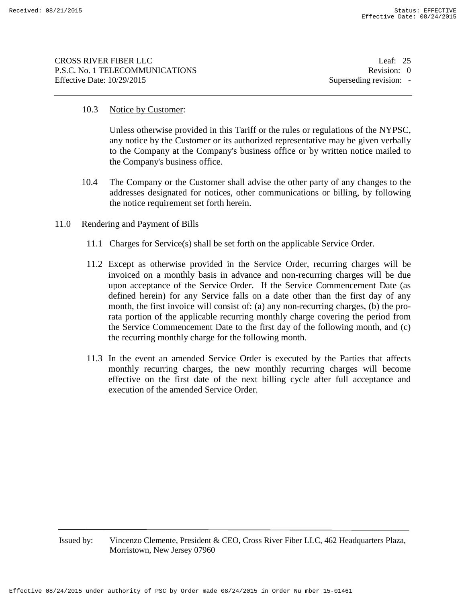| CROSS RIVER FIBER LLC           | Leaf: $25$              |
|---------------------------------|-------------------------|
|                                 |                         |
| P.S.C. No. 1 TELECOMMUNICATIONS | Revision: 0             |
| Effective Date: 10/29/2015      | Superseding revision: - |
|                                 |                         |

# 10.3 Notice by Customer:

Unless otherwise provided in this Tariff or the rules or regulations of the NYPSC, any notice by the Customer or its authorized representative may be given verbally to the Company at the Company's business office or by written notice mailed to the Company's business office.

- 10.4 The Company or the Customer shall advise the other party of any changes to the addresses designated for notices, other communications or billing, by following the notice requirement set forth herein.
- 11.0 Rendering and Payment of Bills
	- 11.1 Charges for Service(s) shall be set forth on the applicable Service Order.
	- 11.2 Except as otherwise provided in the Service Order, recurring charges will be invoiced on a monthly basis in advance and non-recurring charges will be due upon acceptance of the Service Order. If the Service Commencement Date (as defined herein) for any Service falls on a date other than the first day of any month, the first invoice will consist of: (a) any non-recurring charges, (b) the prorata portion of the applicable recurring monthly charge covering the period from the Service Commencement Date to the first day of the following month, and (c) the recurring monthly charge for the following month.
	- 11.3 In the event an amended Service Order is executed by the Parties that affects monthly recurring charges, the new monthly recurring charges will become effective on the first date of the next billing cycle after full acceptance and execution of the amended Service Order.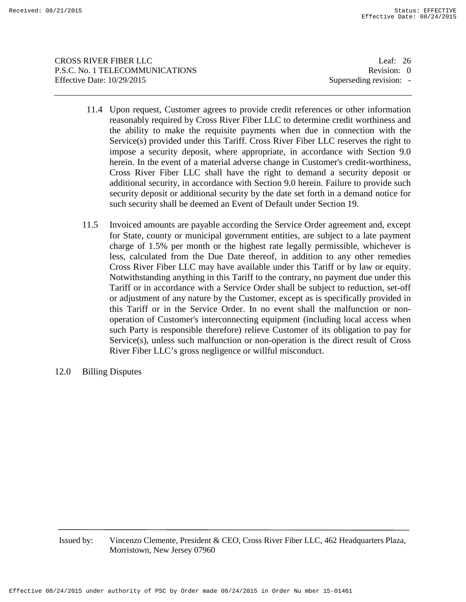CROSS RIVER FIBER LLC Leaf: 26 P.S.C. No. 1 TELECOMMUNICATIONS Revision: 0 Effective Date:  $10/29/2015$  Superseding revision: -

- 11.4 Upon request, Customer agrees to provide credit references or other information reasonably required by Cross River Fiber LLC to determine credit worthiness and the ability to make the requisite payments when due in connection with the Service(s) provided under this Tariff. Cross River Fiber LLC reserves the right to impose a security deposit, where appropriate, in accordance with Section 9.0 herein. In the event of a material adverse change in Customer's credit-worthiness, Cross River Fiber LLC shall have the right to demand a security deposit or additional security, in accordance with Section 9.0 herein. Failure to provide such security deposit or additional security by the date set forth in a demand notice for such security shall be deemed an Event of Default under Section 19.
- 11.5 Invoiced amounts are payable according the Service Order agreement and, except for State, county or municipal government entities, are subject to a late payment charge of 1.5% per month or the highest rate legally permissible, whichever is less, calculated from the Due Date thereof, in addition to any other remedies Cross River Fiber LLC may have available under this Tariff or by law or equity. Notwithstanding anything in this Tariff to the contrary, no payment due under this Tariff or in accordance with a Service Order shall be subject to reduction, set-off or adjustment of any nature by the Customer, except as is specifically provided in this Tariff or in the Service Order. In no event shall the malfunction or nonoperation of Customer's interconnecting equipment (including local access when such Party is responsible therefore) relieve Customer of its obligation to pay for Service(s), unless such malfunction or non-operation is the direct result of Cross River Fiber LLC's gross negligence or willful misconduct.
- 12.0 Billing Disputes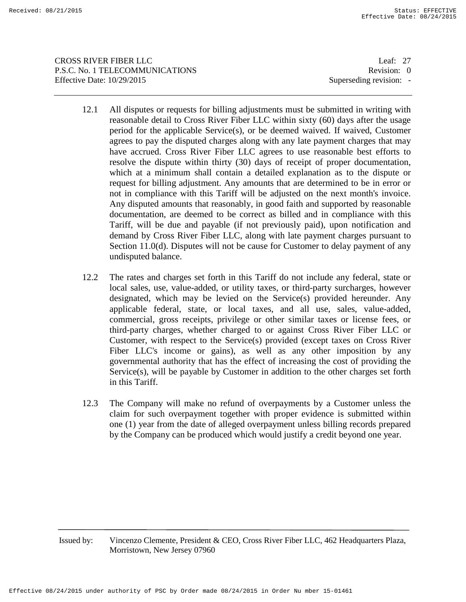CROSS RIVER FIBER LLC Leaf: 27 P.S.C. No. 1 TELECOMMUNICATIONS Revision: 0 Effective Date:  $10/29/2015$  Superseding revision: -

- 12.1 All disputes or requests for billing adjustments must be submitted in writing with reasonable detail to Cross River Fiber LLC within sixty (60) days after the usage period for the applicable Service(s), or be deemed waived. If waived, Customer agrees to pay the disputed charges along with any late payment charges that may have accrued. Cross River Fiber LLC agrees to use reasonable best efforts to resolve the dispute within thirty (30) days of receipt of proper documentation, which at a minimum shall contain a detailed explanation as to the dispute or request for billing adjustment. Any amounts that are determined to be in error or not in compliance with this Tariff will be adjusted on the next month's invoice. Any disputed amounts that reasonably, in good faith and supported by reasonable documentation, are deemed to be correct as billed and in compliance with this Tariff, will be due and payable (if not previously paid), upon notification and demand by Cross River Fiber LLC, along with late payment charges pursuant to Section 11.0(d). Disputes will not be cause for Customer to delay payment of any undisputed balance.
- 12.2 The rates and charges set forth in this Tariff do not include any federal, state or local sales, use, value-added, or utility taxes, or third-party surcharges, however designated, which may be levied on the Service(s) provided hereunder. Any applicable federal, state, or local taxes, and all use, sales, value-added, commercial, gross receipts, privilege or other similar taxes or license fees, or third-party charges, whether charged to or against Cross River Fiber LLC or Customer, with respect to the Service(s) provided (except taxes on Cross River Fiber LLC's income or gains), as well as any other imposition by any governmental authority that has the effect of increasing the cost of providing the Service(s), will be payable by Customer in addition to the other charges set forth in this Tariff.
- 12.3 The Company will make no refund of overpayments by a Customer unless the claim for such overpayment together with proper evidence is submitted within one (1) year from the date of alleged overpayment unless billing records prepared by the Company can be produced which would justify a credit beyond one year.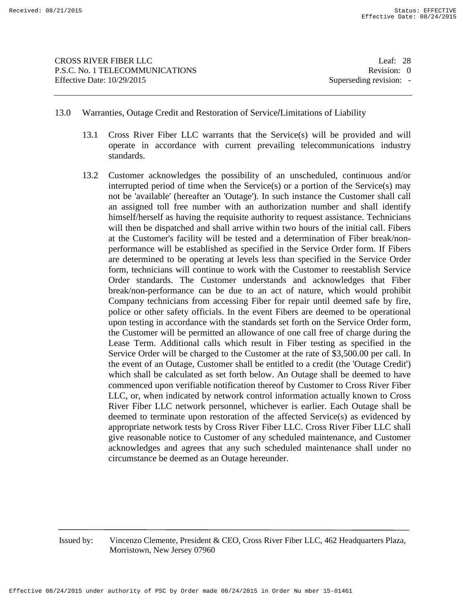CROSS RIVER FIBER LLC Leaf: 28 P.S.C. No. 1 TELECOMMUNICATIONS Revision: 0 Effective Date:  $10/29/2015$  Superseding revision: -

- 13.0 Warranties, Outage Credit and Restoration of Service/Limitations of Liability
	- 13.1 Cross River Fiber LLC warrants that the Service(s) will be provided and will operate in accordance with current prevailing telecommunications industry standards.
	- 13.2 Customer acknowledges the possibility of an unscheduled, continuous and/or interrupted period of time when the Service(s) or a portion of the Service(s) may not be 'available' (hereafter an 'Outage'). In such instance the Customer shall call an assigned toll free number with an authorization number and shall identify himself/herself as having the requisite authority to request assistance. Technicians will then be dispatched and shall arrive within two hours of the initial call. Fibers at the Customer's facility will be tested and a determination of Fiber break/nonperformance will be established as specified in the Service Order form. If Fibers are determined to be operating at levels less than specified in the Service Order form, technicians will continue to work with the Customer to reestablish Service Order standards. The Customer understands and acknowledges that Fiber break/non-performance can be due to an act of nature, which would prohibit Company technicians from accessing Fiber for repair until deemed safe by fire, police or other safety officials. In the event Fibers are deemed to be operational upon testing in accordance with the standards set forth on the Service Order form, the Customer will be permitted an allowance of one call free of charge during the Lease Term. Additional calls which result in Fiber testing as specified in the Service Order will be charged to the Customer at the rate of \$3,500.00 per call. In the event of an Outage, Customer shall be entitled to a credit (the 'Outage Credit') which shall be calculated as set forth below. An Outage shall be deemed to have commenced upon verifiable notification thereof by Customer to Cross River Fiber LLC, or, when indicated by network control information actually known to Cross River Fiber LLC network personnel, whichever is earlier. Each Outage shall be deemed to terminate upon restoration of the affected Service(s) as evidenced by appropriate network tests by Cross River Fiber LLC. Cross River Fiber LLC shall give reasonable notice to Customer of any scheduled maintenance, and Customer acknowledges and agrees that any such scheduled maintenance shall under no circumstance be deemed as an Outage hereunder.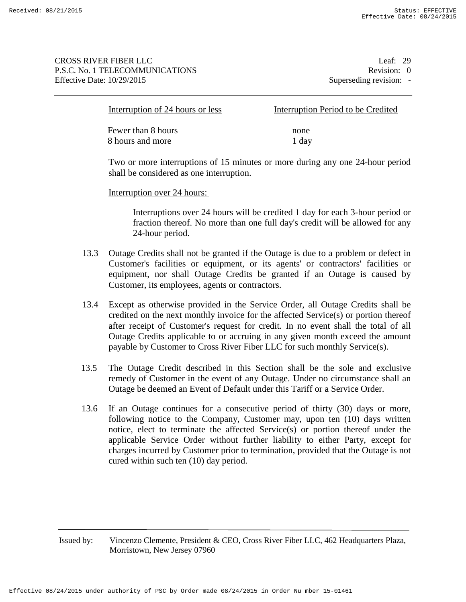## CROSS RIVER FIBER LLC Leaf: 29 P.S.C. No. 1 TELECOMMUNICATIONS Revision: 0 Effective Date:  $10/29/2015$  Superseding revision: -

| Interruption of 24 hours or less | Interruption Period to be Credited |
|----------------------------------|------------------------------------|
| Fewer than 8 hours               | none                               |
| 8 hours and more                 | 1 day                              |

Two or more interruptions of 15 minutes or more during any one 24-hour period shall be considered as one interruption.

## Interruption over 24 hours:

Interruptions over 24 hours will be credited 1 day for each 3-hour period or fraction thereof. No more than one full day's credit will be allowed for any 24-hour period.

- 13.3 Outage Credits shall not be granted if the Outage is due to a problem or defect in Customer's facilities or equipment, or its agents' or contractors' facilities or equipment, nor shall Outage Credits be granted if an Outage is caused by Customer, its employees, agents or contractors.
- 13.4 Except as otherwise provided in the Service Order, all Outage Credits shall be credited on the next monthly invoice for the affected Service(s) or portion thereof after receipt of Customer's request for credit. In no event shall the total of all Outage Credits applicable to or accruing in any given month exceed the amount payable by Customer to Cross River Fiber LLC for such monthly Service(s).
- 13.5 The Outage Credit described in this Section shall be the sole and exclusive remedy of Customer in the event of any Outage. Under no circumstance shall an Outage be deemed an Event of Default under this Tariff or a Service Order.
- 13.6 If an Outage continues for a consecutive period of thirty (30) days or more, following notice to the Company, Customer may, upon ten (10) days written notice, elect to terminate the affected Service(s) or portion thereof under the applicable Service Order without further liability to either Party, except for charges incurred by Customer prior to termination, provided that the Outage is not cured within such ten (10) day period.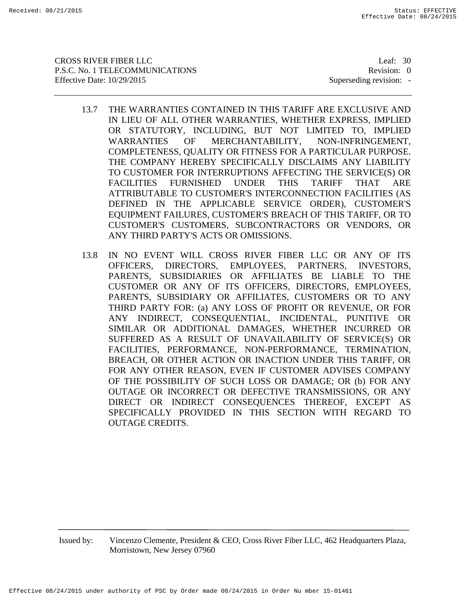CROSS RIVER FIBER LLC Leaf: 30 P.S.C. No. 1 TELECOMMUNICATIONS Revision: 0 Effective Date:  $10/29/2015$  Superseding revision: -

- 13.7 THE WARRANTIES CONTAINED IN THIS TARIFF ARE EXCLUSIVE AND IN LIEU OF ALL OTHER WARRANTIES, WHETHER EXPRESS, IMPLIED OR STATUTORY, INCLUDING, BUT NOT LIMITED TO, IMPLIED WARRANTIES OF MERCHANTABILITY, NON-INFRINGEMENT, COMPLETENESS, QUALITY OR FITNESS FOR A PARTICULAR PURPOSE. THE COMPANY HEREBY SPECIFICALLY DISCLAIMS ANY LIABILITY TO CUSTOMER FOR INTERRUPTIONS AFFECTING THE SERVICE(S) OR FACILITIES FURNISHED UNDER THIS TARIFF THAT ARE ATTRIBUTABLE TO CUSTOMER'S INTERCONNECTION FACILITIES (AS DEFINED IN THE APPLICABLE SERVICE ORDER), CUSTOMER'S EQUIPMENT FAILURES, CUSTOMER'S BREACH OF THIS TARIFF, OR TO CUSTOMER'S CUSTOMERS, SUBCONTRACTORS OR VENDORS, OR ANY THIRD PARTY'S ACTS OR OMISSIONS.
- 13.8 IN NO EVENT WILL CROSS RIVER FIBER LLC OR ANY OF ITS OFFICERS, DIRECTORS, EMPLOYEES, PARTNERS, INVESTORS, PARENTS, SUBSIDIARIES OR AFFILIATES BE LIABLE TO THE CUSTOMER OR ANY OF ITS OFFICERS, DIRECTORS, EMPLOYEES, PARENTS, SUBSIDIARY OR AFFILIATES, CUSTOMERS OR TO ANY THIRD PARTY FOR: (a) ANY LOSS OF PROFIT OR REVENUE, OR FOR ANY INDIRECT, CONSEQUENTIAL, INCIDENTAL, PUNITIVE OR SIMILAR OR ADDITIONAL DAMAGES, WHETHER INCURRED OR SUFFERED AS A RESULT OF UNAVAILABILITY OF SERVICE(S) OR FACILITIES, PERFORMANCE, NON-PERFORMANCE, TERMINATION, BREACH, OR OTHER ACTION OR INACTION UNDER THIS TARIFF, OR FOR ANY OTHER REASON, EVEN IF CUSTOMER ADVISES COMPANY OF THE POSSIBILITY OF SUCH LOSS OR DAMAGE; OR (b) FOR ANY OUTAGE OR INCORRECT OR DEFECTIVE TRANSMISSIONS, OR ANY DIRECT OR INDIRECT CONSEQUENCES THEREOF, EXCEPT AS SPECIFICALLY PROVIDED IN THIS SECTION WITH REGARD TO OUTAGE CREDITS.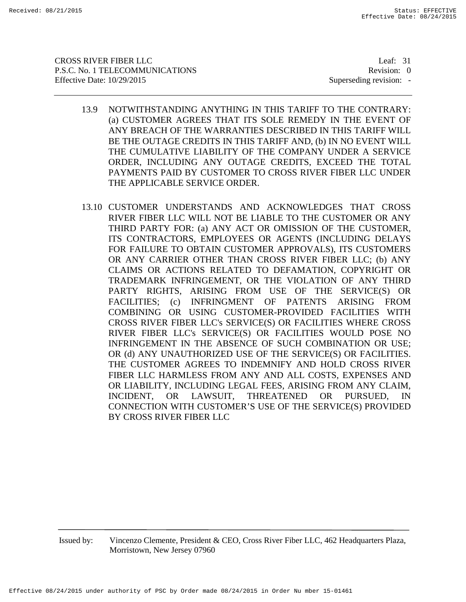CROSS RIVER FIBER LLC Leaf: 31 P.S.C. No. 1 TELECOMMUNICATIONS Revision: 0 Effective Date:  $10/29/2015$  Superseding revision: -

- 13.9 NOTWITHSTANDING ANYTHING IN THIS TARIFF TO THE CONTRARY: (a) CUSTOMER AGREES THAT ITS SOLE REMEDY IN THE EVENT OF ANY BREACH OF THE WARRANTIES DESCRIBED IN THIS TARIFF WILL BE THE OUTAGE CREDITS IN THIS TARIFF AND, (b) IN NO EVENT WILL THE CUMULATIVE LIABILITY OF THE COMPANY UNDER A SERVICE ORDER, INCLUDING ANY OUTAGE CREDITS, EXCEED THE TOTAL PAYMENTS PAID BY CUSTOMER TO CROSS RIVER FIBER LLC UNDER THE APPLICABLE SERVICE ORDER.
- 13.10 CUSTOMER UNDERSTANDS AND ACKNOWLEDGES THAT CROSS RIVER FIBER LLC WILL NOT BE LIABLE TO THE CUSTOMER OR ANY THIRD PARTY FOR: (a) ANY ACT OR OMISSION OF THE CUSTOMER, ITS CONTRACTORS, EMPLOYEES OR AGENTS (INCLUDING DELAYS FOR FAILURE TO OBTAIN CUSTOMER APPROVALS), ITS CUSTOMERS OR ANY CARRIER OTHER THAN CROSS RIVER FIBER LLC; (b) ANY CLAIMS OR ACTIONS RELATED TO DEFAMATION, COPYRIGHT OR TRADEMARK INFRINGEMENT, OR THE VIOLATION OF ANY THIRD PARTY RIGHTS, ARISING FROM USE OF THE SERVICE(S) OR FACILITIES; (c) INFRINGMENT OF PATENTS ARISING FROM COMBINING OR USING CUSTOMER-PROVIDED FACILITIES WITH CROSS RIVER FIBER LLC's SERVICE(S) OR FACILITIES WHERE CROSS RIVER FIBER LLC's SERVICE(S) OR FACILITIES WOULD POSE NO INFRINGEMENT IN THE ABSENCE OF SUCH COMBINATION OR USE; OR (d) ANY UNAUTHORIZED USE OF THE SERVICE(S) OR FACILITIES. THE CUSTOMER AGREES TO INDEMNIFY AND HOLD CROSS RIVER FIBER LLC HARMLESS FROM ANY AND ALL COSTS, EXPENSES AND OR LIABILITY, INCLUDING LEGAL FEES, ARISING FROM ANY CLAIM, INCIDENT, OR LAWSUIT, THREATENED OR PURSUED, IN CONNECTION WITH CUSTOMER'S USE OF THE SERVICE(S) PROVIDED BY CROSS RIVER FIBER LLC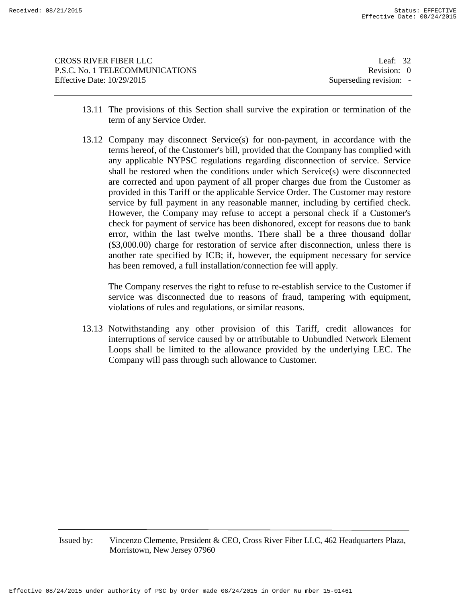| CROSS RIVER FIBER LLC           | Leaf: $32$              |
|---------------------------------|-------------------------|
| P.S.C. No. 1 TELECOMMUNICATIONS | Revision: 0             |
| Effective Date: 10/29/2015      | Superseding revision: - |
|                                 |                         |

- 13.11 The provisions of this Section shall survive the expiration or termination of the term of any Service Order.
- 13.12 Company may disconnect Service(s) for non-payment, in accordance with the terms hereof, of the Customer's bill, provided that the Company has complied with any applicable NYPSC regulations regarding disconnection of service. Service shall be restored when the conditions under which Service(s) were disconnected are corrected and upon payment of all proper charges due from the Customer as provided in this Tariff or the applicable Service Order. The Customer may restore service by full payment in any reasonable manner, including by certified check. However, the Company may refuse to accept a personal check if a Customer's check for payment of service has been dishonored, except for reasons due to bank error, within the last twelve months. There shall be a three thousand dollar (\$3,000.00) charge for restoration of service after disconnection, unless there is another rate specified by ICB; if, however, the equipment necessary for service has been removed, a full installation/connection fee will apply.

The Company reserves the right to refuse to re-establish service to the Customer if service was disconnected due to reasons of fraud, tampering with equipment, violations of rules and regulations, or similar reasons.

13.13 Notwithstanding any other provision of this Tariff, credit allowances for interruptions of service caused by or attributable to Unbundled Network Element Loops shall be limited to the allowance provided by the underlying LEC. The Company will pass through such allowance to Customer.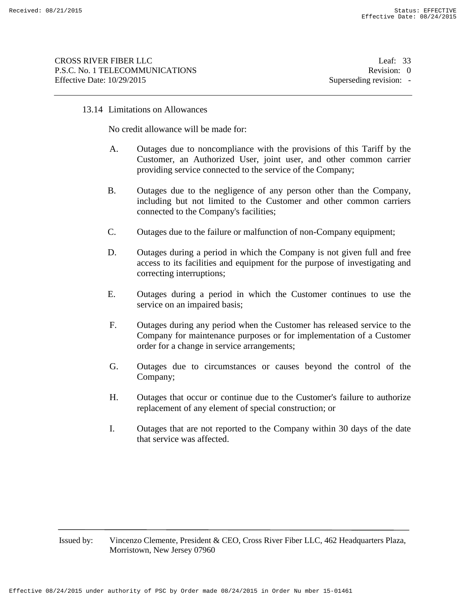## 13.14 Limitations on Allowances

No credit allowance will be made for:

- A. Outages due to noncompliance with the provisions of this Tariff by the Customer, an Authorized User, joint user, and other common carrier providing service connected to the service of the Company;
- B. Outages due to the negligence of any person other than the Company, including but not limited to the Customer and other common carriers connected to the Company's facilities;
- C. Outages due to the failure or malfunction of non-Company equipment;
- D. Outages during a period in which the Company is not given full and free access to its facilities and equipment for the purpose of investigating and correcting interruptions;
- E. Outages during a period in which the Customer continues to use the service on an impaired basis;
- F. Outages during any period when the Customer has released service to the Company for maintenance purposes or for implementation of a Customer order for a change in service arrangements;
- G. Outages due to circumstances or causes beyond the control of the Company;
- H. Outages that occur or continue due to the Customer's failure to authorize replacement of any element of special construction; or
- I. Outages that are not reported to the Company within 30 days of the date that service was affected.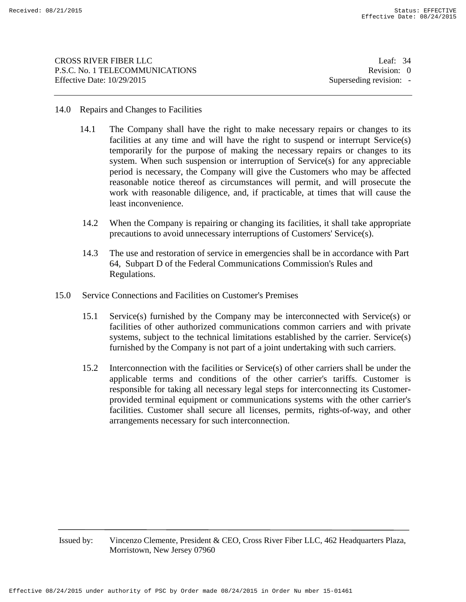CROSS RIVER FIBER LLC Leaf: 34 P.S.C. No. 1 TELECOMMUNICATIONS Revision: 0 Effective Date:  $10/29/2015$  Superseding revision: -

## 14.0 Repairs and Changes to Facilities

- 14.1 The Company shall have the right to make necessary repairs or changes to its facilities at any time and will have the right to suspend or interrupt Service(s) temporarily for the purpose of making the necessary repairs or changes to its system. When such suspension or interruption of Service(s) for any appreciable period is necessary, the Company will give the Customers who may be affected reasonable notice thereof as circumstances will permit, and will prosecute the work with reasonable diligence, and, if practicable, at times that will cause the least inconvenience.
- 14.2 When the Company is repairing or changing its facilities, it shall take appropriate precautions to avoid unnecessary interruptions of Customers' Service(s).
- 14.3 The use and restoration of service in emergencies shall be in accordance with Part 64, Subpart D of the Federal Communications Commission's Rules and Regulations.
- 15.0 Service Connections and Facilities on Customer's Premises
	- 15.1 Service(s) furnished by the Company may be interconnected with Service(s) or facilities of other authorized communications common carriers and with private systems, subject to the technical limitations established by the carrier. Service(s) furnished by the Company is not part of a joint undertaking with such carriers.
	- 15.2 Interconnection with the facilities or Service(s) of other carriers shall be under the applicable terms and conditions of the other carrier's tariffs. Customer is responsible for taking all necessary legal steps for interconnecting its Customerprovided terminal equipment or communications systems with the other carrier's facilities. Customer shall secure all licenses, permits, rights-of-way, and other arrangements necessary for such interconnection.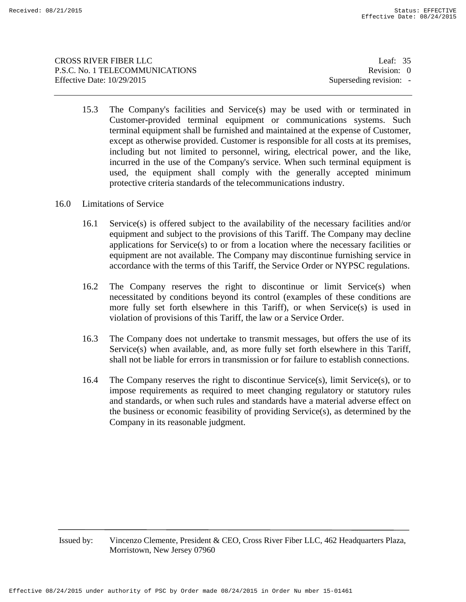CROSS RIVER FIBER LLC Leaf: 35 P.S.C. No. 1 TELECOMMUNICATIONS Revision: 0 Effective Date:  $10/29/2015$  Superseding revision: -

15.3 The Company's facilities and Service(s) may be used with or terminated in Customer-provided terminal equipment or communications systems. Such terminal equipment shall be furnished and maintained at the expense of Customer, except as otherwise provided. Customer is responsible for all costs at its premises, including but not limited to personnel, wiring, electrical power, and the like, incurred in the use of the Company's service. When such terminal equipment is used, the equipment shall comply with the generally accepted minimum protective criteria standards of the telecommunications industry.

## 16.0 Limitations of Service

- 16.1 Service(s) is offered subject to the availability of the necessary facilities and/or equipment and subject to the provisions of this Tariff. The Company may decline applications for Service(s) to or from a location where the necessary facilities or equipment are not available. The Company may discontinue furnishing service in accordance with the terms of this Tariff, the Service Order or NYPSC regulations.
- 16.2 The Company reserves the right to discontinue or limit Service(s) when necessitated by conditions beyond its control (examples of these conditions are more fully set forth elsewhere in this Tariff), or when Service(s) is used in violation of provisions of this Tariff, the law or a Service Order.
- 16.3 The Company does not undertake to transmit messages, but offers the use of its Service(s) when available, and, as more fully set forth elsewhere in this Tariff, shall not be liable for errors in transmission or for failure to establish connections.
- 16.4 The Company reserves the right to discontinue Service(s), limit Service(s), or to impose requirements as required to meet changing regulatory or statutory rules and standards, or when such rules and standards have a material adverse effect on the business or economic feasibility of providing Service(s), as determined by the Company in its reasonable judgment.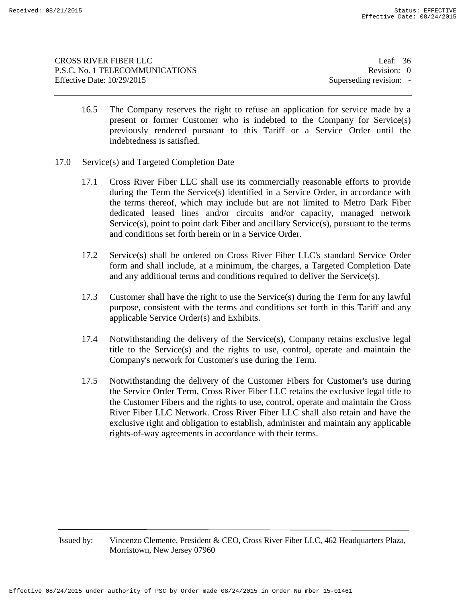| CROSS RIVER FIBER LLC           | Leaf: $36$              |
|---------------------------------|-------------------------|
| P.S.C. No. 1 TELECOMMUNICATIONS | Revision: 0             |
| Effective Date: 10/29/2015      | Superseding revision: - |
|                                 |                         |

- 16.5 The Company reserves the right to refuse an application for service made by a present or former Customer who is indebted to the Company for Service(s) previously rendered pursuant to this Tariff or a Service Order until the indebtedness is satisfied.
- 17.0 Service(s) and Targeted Completion Date
	- 17.1 Cross River Fiber LLC shall use its commercially reasonable efforts to provide during the Term the Service(s) identified in a Service Order, in accordance with the terms thereof, which may include but are not limited to Metro Dark Fiber dedicated leased lines and/or circuits and/or capacity, managed network Service(s), point to point dark Fiber and ancillary Service(s), pursuant to the terms and conditions set forth herein or in a Service Order.
	- 17.2 Service(s) shall be ordered on Cross River Fiber LLC's standard Service Order form and shall include, at a minimum, the charges, a Targeted Completion Date and any additional terms and conditions required to deliver the Service(s).
	- 17.3 Customer shall have the right to use the Service(s) during the Term for any lawful purpose, consistent with the terms and conditions set forth in this Tariff and any applicable Service Order(s) and Exhibits.
	- 17.4 Notwithstanding the delivery of the Service(s), Company retains exclusive legal title to the Service(s) and the rights to use, control, operate and maintain the Company's network for Customer's use during the Term.
	- 17.5 Notwithstanding the delivery of the Customer Fibers for Customer's use during the Service Order Term, Cross River Fiber LLC retains the exclusive legal title to the Customer Fibers and the rights to use, control, operate and maintain the Cross River Fiber LLC Network. Cross River Fiber LLC shall also retain and have the exclusive right and obligation to establish, administer and maintain any applicable rights-of-way agreements in accordance with their terms.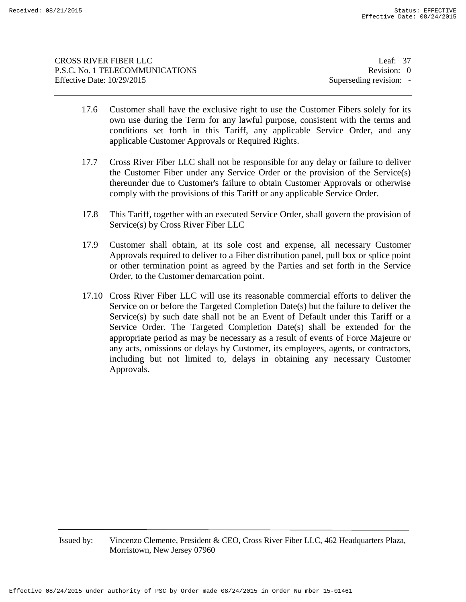| CROSS RIVER FIBER LLC           | Leaf: $37$              |
|---------------------------------|-------------------------|
| P.S.C. No. 1 TELECOMMUNICATIONS | Revision: 0             |
| Effective Date: 10/29/2015      | Superseding revision: - |
|                                 |                         |

- 17.6 Customer shall have the exclusive right to use the Customer Fibers solely for its own use during the Term for any lawful purpose, consistent with the terms and conditions set forth in this Tariff, any applicable Service Order, and any applicable Customer Approvals or Required Rights.
- 17.7 Cross River Fiber LLC shall not be responsible for any delay or failure to deliver the Customer Fiber under any Service Order or the provision of the Service(s) thereunder due to Customer's failure to obtain Customer Approvals or otherwise comply with the provisions of this Tariff or any applicable Service Order.
- 17.8 This Tariff, together with an executed Service Order, shall govern the provision of Service(s) by Cross River Fiber LLC
- 17.9 Customer shall obtain, at its sole cost and expense, all necessary Customer Approvals required to deliver to a Fiber distribution panel, pull box or splice point or other termination point as agreed by the Parties and set forth in the Service Order, to the Customer demarcation point.
- 17.10 Cross River Fiber LLC will use its reasonable commercial efforts to deliver the Service on or before the Targeted Completion Date(s) but the failure to deliver the Service(s) by such date shall not be an Event of Default under this Tariff or a Service Order. The Targeted Completion Date(s) shall be extended for the appropriate period as may be necessary as a result of events of Force Majeure or any acts, omissions or delays by Customer, its employees, agents, or contractors, including but not limited to, delays in obtaining any necessary Customer Approvals.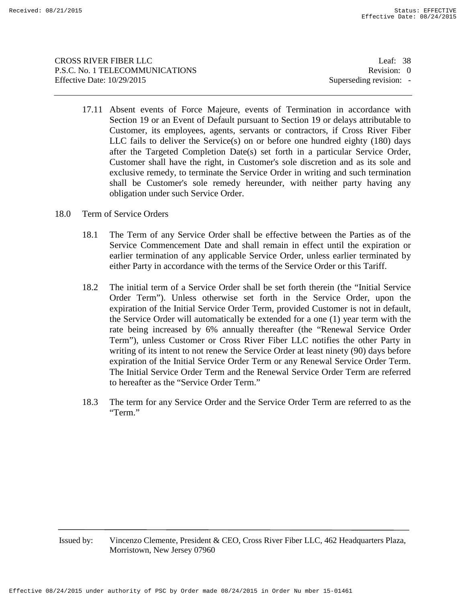CROSS RIVER FIBER LLC Leaf: 38 P.S.C. No. 1 TELECOMMUNICATIONS Revision: 0 Effective Date:  $10/29/2015$  Superseding revision: -

- 17.11 Absent events of Force Majeure, events of Termination in accordance with Section 19 or an Event of Default pursuant to Section 19 or delays attributable to Customer, its employees, agents, servants or contractors, if Cross River Fiber LLC fails to deliver the Service(s) on or before one hundred eighty (180) days after the Targeted Completion Date(s) set forth in a particular Service Order, Customer shall have the right, in Customer's sole discretion and as its sole and exclusive remedy, to terminate the Service Order in writing and such termination shall be Customer's sole remedy hereunder, with neither party having any obligation under such Service Order.
- 18.0 Term of Service Orders
	- 18.1 The Term of any Service Order shall be effective between the Parties as of the Service Commencement Date and shall remain in effect until the expiration or earlier termination of any applicable Service Order, unless earlier terminated by either Party in accordance with the terms of the Service Order or this Tariff.
	- 18.2 The initial term of a Service Order shall be set forth therein (the "Initial Service Order Term"). Unless otherwise set forth in the Service Order, upon the expiration of the Initial Service Order Term, provided Customer is not in default, the Service Order will automatically be extended for a one (1) year term with the rate being increased by 6% annually thereafter (the "Renewal Service Order Term"), unless Customer or Cross River Fiber LLC notifies the other Party in writing of its intent to not renew the Service Order at least ninety (90) days before expiration of the Initial Service Order Term or any Renewal Service Order Term. The Initial Service Order Term and the Renewal Service Order Term are referred to hereafter as the "Service Order Term."
	- 18.3 The term for any Service Order and the Service Order Term are referred to as the "Term."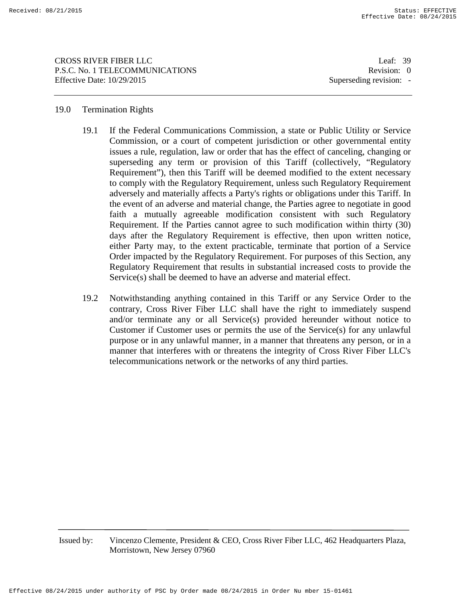CROSS RIVER FIBER LLC Leaf: 39 P.S.C. No. 1 TELECOMMUNICATIONS Revision: 0 Effective Date:  $10/29/2015$  Superseding revision: -

## 19.0 Termination Rights

- 19.1 If the Federal Communications Commission, a state or Public Utility or Service Commission, or a court of competent jurisdiction or other governmental entity issues a rule, regulation, law or order that has the effect of canceling, changing or superseding any term or provision of this Tariff (collectively, "Regulatory Requirement"), then this Tariff will be deemed modified to the extent necessary to comply with the Regulatory Requirement, unless such Regulatory Requirement adversely and materially affects a Party's rights or obligations under this Tariff. In the event of an adverse and material change, the Parties agree to negotiate in good faith a mutually agreeable modification consistent with such Regulatory Requirement. If the Parties cannot agree to such modification within thirty (30) days after the Regulatory Requirement is effective, then upon written notice, either Party may, to the extent practicable, terminate that portion of a Service Order impacted by the Regulatory Requirement. For purposes of this Section, any Regulatory Requirement that results in substantial increased costs to provide the Service(s) shall be deemed to have an adverse and material effect.
- 19.2 Notwithstanding anything contained in this Tariff or any Service Order to the contrary, Cross River Fiber LLC shall have the right to immediately suspend and/or terminate any or all Service(s) provided hereunder without notice to Customer if Customer uses or permits the use of the Service(s) for any unlawful purpose or in any unlawful manner, in a manner that threatens any person, or in a manner that interferes with or threatens the integrity of Cross River Fiber LLC's telecommunications network or the networks of any third parties.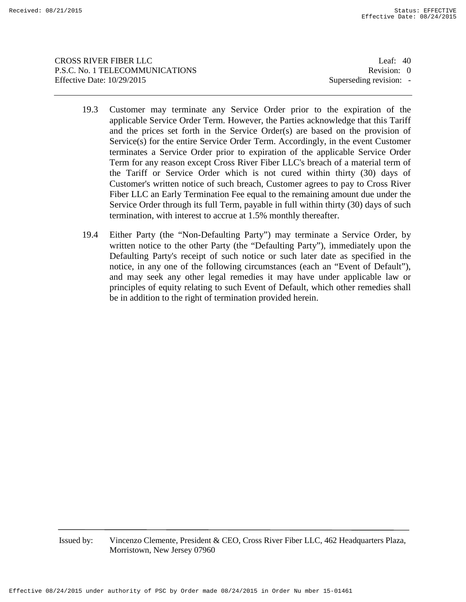CROSS RIVER FIBER LLC Leaf: 40 P.S.C. No. 1 TELECOMMUNICATIONS Revision: 0 Effective Date:  $10/29/2015$  Superseding revision: -

- 19.3 Customer may terminate any Service Order prior to the expiration of the applicable Service Order Term. However, the Parties acknowledge that this Tariff and the prices set forth in the Service Order(s) are based on the provision of Service(s) for the entire Service Order Term. Accordingly, in the event Customer terminates a Service Order prior to expiration of the applicable Service Order Term for any reason except Cross River Fiber LLC's breach of a material term of the Tariff or Service Order which is not cured within thirty (30) days of Customer's written notice of such breach, Customer agrees to pay to Cross River Fiber LLC an Early Termination Fee equal to the remaining amount due under the Service Order through its full Term, payable in full within thirty (30) days of such termination, with interest to accrue at 1.5% monthly thereafter.
- 19.4 Either Party (the "Non-Defaulting Party") may terminate a Service Order, by written notice to the other Party (the "Defaulting Party"), immediately upon the Defaulting Party's receipt of such notice or such later date as specified in the notice, in any one of the following circumstances (each an "Event of Default"), and may seek any other legal remedies it may have under applicable law or principles of equity relating to such Event of Default, which other remedies shall be in addition to the right of termination provided herein.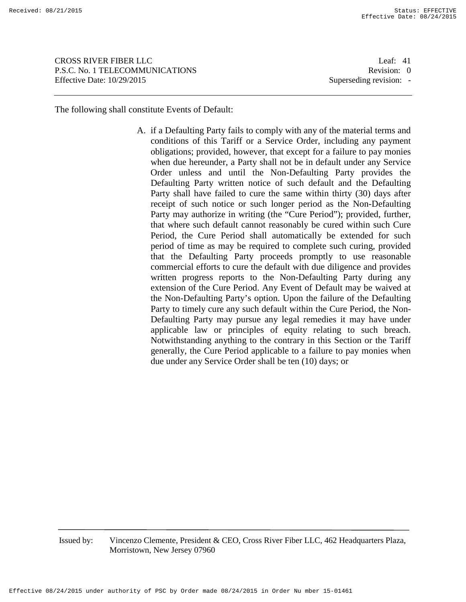CROSS RIVER FIBER LLC Leaf: 41 P.S.C. No. 1 TELECOMMUNICATIONS Revision: 0 Effective Date:  $10/29/2015$  Superseding revision: -

The following shall constitute Events of Default:

A. if a Defaulting Party fails to comply with any of the material terms and conditions of this Tariff or a Service Order, including any payment obligations; provided, however, that except for a failure to pay monies when due hereunder, a Party shall not be in default under any Service Order unless and until the Non-Defaulting Party provides the Defaulting Party written notice of such default and the Defaulting Party shall have failed to cure the same within thirty (30) days after receipt of such notice or such longer period as the Non-Defaulting Party may authorize in writing (the "Cure Period"); provided, further, that where such default cannot reasonably be cured within such Cure Period, the Cure Period shall automatically be extended for such period of time as may be required to complete such curing, provided that the Defaulting Party proceeds promptly to use reasonable commercial efforts to cure the default with due diligence and provides written progress reports to the Non-Defaulting Party during any extension of the Cure Period. Any Event of Default may be waived at the Non-Defaulting Party's option. Upon the failure of the Defaulting Party to timely cure any such default within the Cure Period, the Non-Defaulting Party may pursue any legal remedies it may have under applicable law or principles of equity relating to such breach. Notwithstanding anything to the contrary in this Section or the Tariff generally, the Cure Period applicable to a failure to pay monies when due under any Service Order shall be ten (10) days; or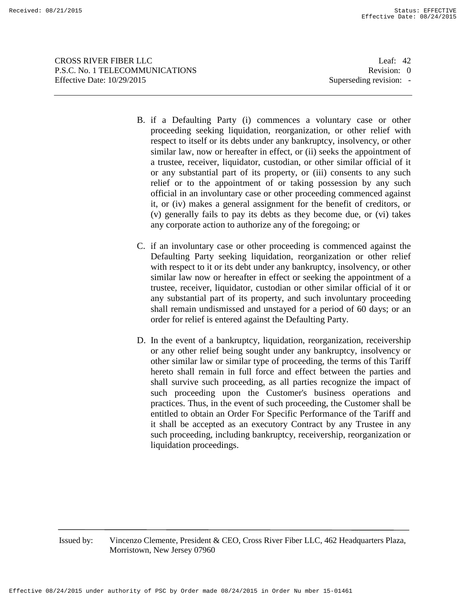CROSS RIVER FIBER LLC Leaf: 42 P.S.C. No. 1 TELECOMMUNICATIONS Revision: 0 Effective Date:  $10/29/2015$  Superseding revision: -

- B. if a Defaulting Party (i) commences a voluntary case or other proceeding seeking liquidation, reorganization, or other relief with respect to itself or its debts under any bankruptcy, insolvency, or other similar law, now or hereafter in effect, or (ii) seeks the appointment of a trustee, receiver, liquidator, custodian, or other similar official of it or any substantial part of its property, or (iii) consents to any such relief or to the appointment of or taking possession by any such official in an involuntary case or other proceeding commenced against it, or (iv) makes a general assignment for the benefit of creditors, or (v) generally fails to pay its debts as they become due, or (vi) takes any corporate action to authorize any of the foregoing; or
- C. if an involuntary case or other proceeding is commenced against the Defaulting Party seeking liquidation, reorganization or other relief with respect to it or its debt under any bankruptcy, insolvency, or other similar law now or hereafter in effect or seeking the appointment of a trustee, receiver, liquidator, custodian or other similar official of it or any substantial part of its property, and such involuntary proceeding shall remain undismissed and unstayed for a period of 60 days; or an order for relief is entered against the Defaulting Party.
- D. In the event of a bankruptcy, liquidation, reorganization, receivership or any other relief being sought under any bankruptcy, insolvency or other similar law or similar type of proceeding, the terms of this Tariff hereto shall remain in full force and effect between the parties and shall survive such proceeding, as all parties recognize the impact of such proceeding upon the Customer's business operations and practices. Thus, in the event of such proceeding, the Customer shall be entitled to obtain an Order For Specific Performance of the Tariff and it shall be accepted as an executory Contract by any Trustee in any such proceeding, including bankruptcy, receivership, reorganization or liquidation proceedings.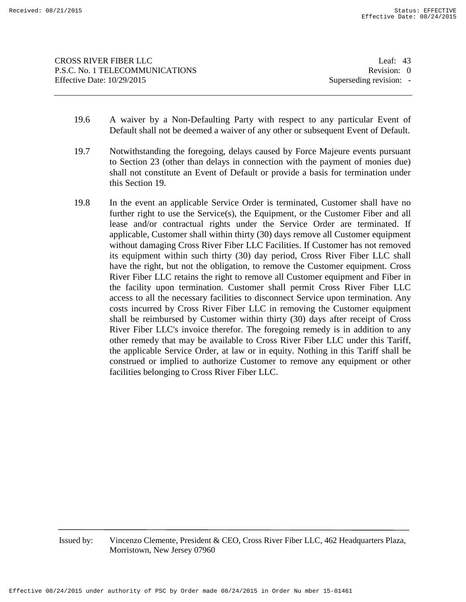- 19.6 A waiver by a Non-Defaulting Party with respect to any particular Event of Default shall not be deemed a waiver of any other or subsequent Event of Default.
- 19.7 Notwithstanding the foregoing, delays caused by Force Majeure events pursuant to Section 23 (other than delays in connection with the payment of monies due) shall not constitute an Event of Default or provide a basis for termination under this Section 19.
- 19.8 In the event an applicable Service Order is terminated, Customer shall have no further right to use the Service(s), the Equipment, or the Customer Fiber and all lease and/or contractual rights under the Service Order are terminated. If applicable, Customer shall within thirty (30) days remove all Customer equipment without damaging Cross River Fiber LLC Facilities. If Customer has not removed its equipment within such thirty (30) day period, Cross River Fiber LLC shall have the right, but not the obligation, to remove the Customer equipment. Cross River Fiber LLC retains the right to remove all Customer equipment and Fiber in the facility upon termination. Customer shall permit Cross River Fiber LLC access to all the necessary facilities to disconnect Service upon termination. Any costs incurred by Cross River Fiber LLC in removing the Customer equipment shall be reimbursed by Customer within thirty (30) days after receipt of Cross River Fiber LLC's invoice therefor. The foregoing remedy is in addition to any other remedy that may be available to Cross River Fiber LLC under this Tariff, the applicable Service Order, at law or in equity. Nothing in this Tariff shall be construed or implied to authorize Customer to remove any equipment or other facilities belonging to Cross River Fiber LLC.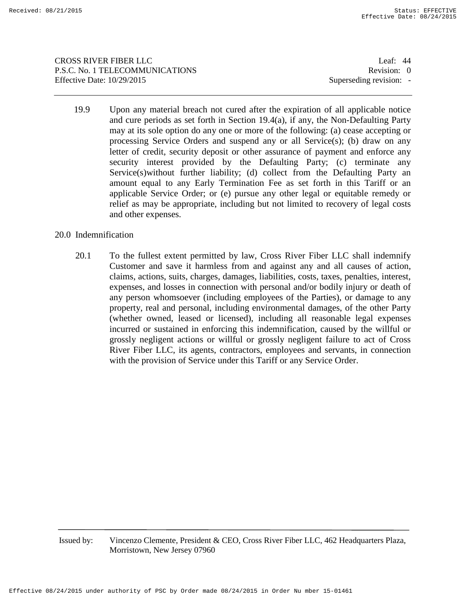CROSS RIVER FIBER LLC Leaf: 44 P.S.C. No. 1 TELECOMMUNICATIONS Revision: 0 Effective Date:  $10/29/2015$  Superseding revision: -

19.9 Upon any material breach not cured after the expiration of all applicable notice and cure periods as set forth in Section 19.4(a), if any, the Non-Defaulting Party may at its sole option do any one or more of the following: (a) cease accepting or processing Service Orders and suspend any or all Service(s); (b) draw on any letter of credit, security deposit or other assurance of payment and enforce any security interest provided by the Defaulting Party; (c) terminate any Service(s)without further liability; (d) collect from the Defaulting Party an amount equal to any Early Termination Fee as set forth in this Tariff or an applicable Service Order; or (e) pursue any other legal or equitable remedy or relief as may be appropriate, including but not limited to recovery of legal costs and other expenses.

## 20.0 Indemnification

20.1 To the fullest extent permitted by law, Cross River Fiber LLC shall indemnify Customer and save it harmless from and against any and all causes of action, claims, actions, suits, charges, damages, liabilities, costs, taxes, penalties, interest, expenses, and losses in connection with personal and/or bodily injury or death of any person whomsoever (including employees of the Parties), or damage to any property, real and personal, including environmental damages, of the other Party (whether owned, leased or licensed), including all reasonable legal expenses incurred or sustained in enforcing this indemnification, caused by the willful or grossly negligent actions or willful or grossly negligent failure to act of Cross River Fiber LLC, its agents, contractors, employees and servants, in connection with the provision of Service under this Tariff or any Service Order.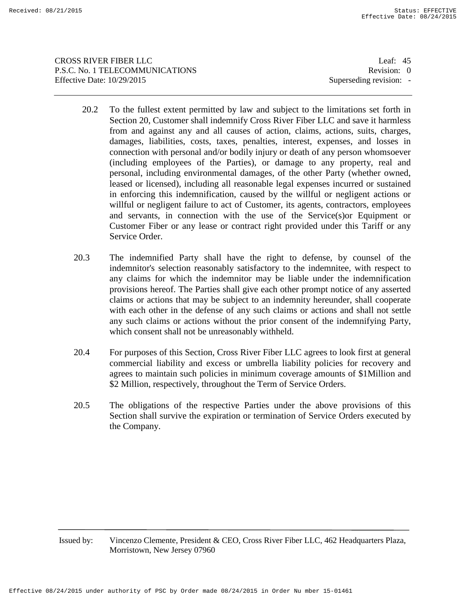CROSS RIVER FIBER LLC Leaf: 45 P.S.C. No. 1 TELECOMMUNICATIONS Revision: 0 Effective Date:  $10/29/2015$  Superseding revision: -

- 20.2 To the fullest extent permitted by law and subject to the limitations set forth in Section 20, Customer shall indemnify Cross River Fiber LLC and save it harmless from and against any and all causes of action, claims, actions, suits, charges, damages, liabilities, costs, taxes, penalties, interest, expenses, and losses in connection with personal and/or bodily injury or death of any person whomsoever (including employees of the Parties), or damage to any property, real and personal, including environmental damages, of the other Party (whether owned, leased or licensed), including all reasonable legal expenses incurred or sustained in enforcing this indemnification, caused by the willful or negligent actions or willful or negligent failure to act of Customer, its agents, contractors, employees and servants, in connection with the use of the Service(s)or Equipment or Customer Fiber or any lease or contract right provided under this Tariff or any Service Order.
- 20.3 The indemnified Party shall have the right to defense, by counsel of the indemnitor's selection reasonably satisfactory to the indemnitee, with respect to any claims for which the indemnitor may be liable under the indemnification provisions hereof. The Parties shall give each other prompt notice of any asserted claims or actions that may be subject to an indemnity hereunder, shall cooperate with each other in the defense of any such claims or actions and shall not settle any such claims or actions without the prior consent of the indemnifying Party, which consent shall not be unreasonably withheld.
- 20.4 For purposes of this Section, Cross River Fiber LLC agrees to look first at general commercial liability and excess or umbrella liability policies for recovery and agrees to maintain such policies in minimum coverage amounts of \$1Million and \$2 Million, respectively, throughout the Term of Service Orders.
- 20.5 The obligations of the respective Parties under the above provisions of this Section shall survive the expiration or termination of Service Orders executed by the Company.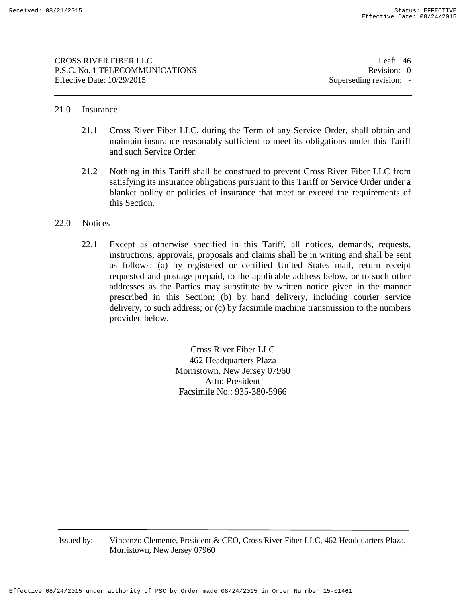CROSS RIVER FIBER LLC Leaf: 46 P.S.C. No. 1 TELECOMMUNICATIONS Revision: 0 Effective Date:  $10/29/2015$  Superseding revision: -

## 21.0 Insurance

- 21.1 Cross River Fiber LLC, during the Term of any Service Order, shall obtain and maintain insurance reasonably sufficient to meet its obligations under this Tariff and such Service Order.
- 21.2 Nothing in this Tariff shall be construed to prevent Cross River Fiber LLC from satisfying its insurance obligations pursuant to this Tariff or Service Order under a blanket policy or policies of insurance that meet or exceed the requirements of this Section.

## 22.0 Notices

22.1 Except as otherwise specified in this Tariff, all notices, demands, requests, instructions, approvals, proposals and claims shall be in writing and shall be sent as follows: (a) by registered or certified United States mail, return receipt requested and postage prepaid, to the applicable address below, or to such other addresses as the Parties may substitute by written notice given in the manner prescribed in this Section; (b) by hand delivery, including courier service delivery, to such address; or (c) by facsimile machine transmission to the numbers provided below.

> Cross River Fiber LLC 462 Headquarters Plaza Morristown, New Jersey 07960 Attn: President Facsimile No.: 935-380-5966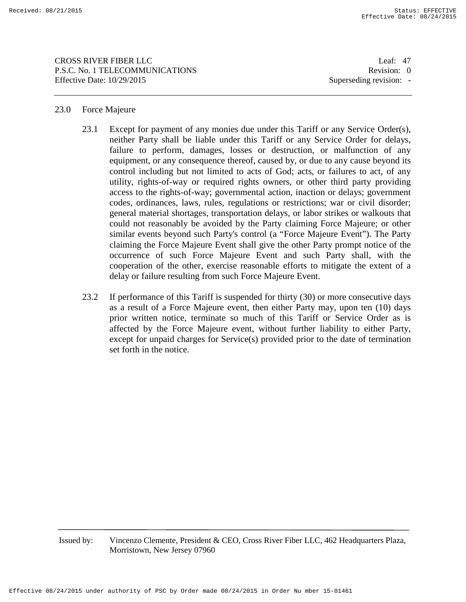CROSS RIVER FIBER LLC Leaf: 47 P.S.C. No. 1 TELECOMMUNICATIONS Revision: 0 Effective Date:  $10/29/2015$  Superseding revision: -

## 23.0 Force Majeure

- 23.1 Except for payment of any monies due under this Tariff or any Service Order(s), neither Party shall be liable under this Tariff or any Service Order for delays, failure to perform, damages, losses or destruction, or malfunction of any equipment, or any consequence thereof, caused by, or due to any cause beyond its control including but not limited to acts of God; acts, or failures to act, of any utility, rights-of-way or required rights owners, or other third party providing access to the rights-of-way; governmental action, inaction or delays; government codes, ordinances, laws, rules, regulations or restrictions; war or civil disorder; general material shortages, transportation delays, or labor strikes or walkouts that could not reasonably be avoided by the Party claiming Force Majeure; or other similar events beyond such Party's control (a "Force Majeure Event"). The Party claiming the Force Majeure Event shall give the other Party prompt notice of the occurrence of such Force Majeure Event and such Party shall, with the cooperation of the other, exercise reasonable efforts to mitigate the extent of a delay or failure resulting from such Force Majeure Event.
- 23.2 If performance of this Tariff is suspended for thirty (30) or more consecutive days as a result of a Force Majeure event, then either Party may, upon ten (10) days prior written notice, terminate so much of this Tariff or Service Order as is affected by the Force Majeure event, without further liability to either Party, except for unpaid charges for Service(s) provided prior to the date of termination set forth in the notice.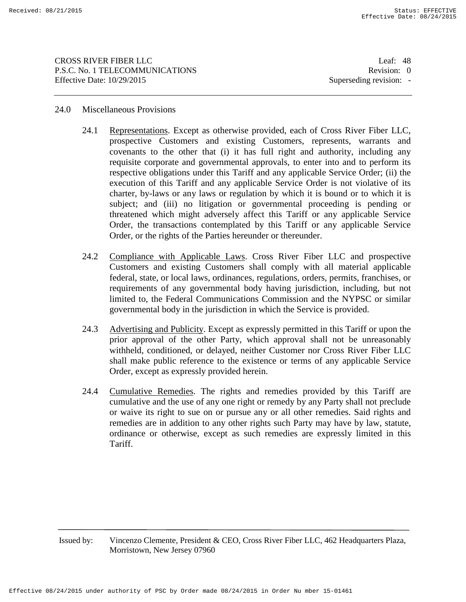CROSS RIVER FIBER LLC Leaf: 48 P.S.C. No. 1 TELECOMMUNICATIONS Revision: 0 Effective Date:  $10/29/2015$  Superseding revision: -

## 24.0 Miscellaneous Provisions

- 24.1 Representations. Except as otherwise provided, each of Cross River Fiber LLC, prospective Customers and existing Customers, represents, warrants and covenants to the other that (i) it has full right and authority, including any requisite corporate and governmental approvals, to enter into and to perform its respective obligations under this Tariff and any applicable Service Order; (ii) the execution of this Tariff and any applicable Service Order is not violative of its charter, by-laws or any laws or regulation by which it is bound or to which it is subject; and (iii) no litigation or governmental proceeding is pending or threatened which might adversely affect this Tariff or any applicable Service Order, the transactions contemplated by this Tariff or any applicable Service Order, or the rights of the Parties hereunder or thereunder.
- 24.2 Compliance with Applicable Laws. Cross River Fiber LLC and prospective Customers and existing Customers shall comply with all material applicable federal, state, or local laws, ordinances, regulations, orders, permits, franchises, or requirements of any governmental body having jurisdiction, including, but not limited to, the Federal Communications Commission and the NYPSC or similar governmental body in the jurisdiction in which the Service is provided.
- 24.3 Advertising and Publicity. Except as expressly permitted in this Tariff or upon the prior approval of the other Party, which approval shall not be unreasonably withheld, conditioned, or delayed, neither Customer nor Cross River Fiber LLC shall make public reference to the existence or terms of any applicable Service Order, except as expressly provided herein.
- 24.4 Cumulative Remedies. The rights and remedies provided by this Tariff are cumulative and the use of any one right or remedy by any Party shall not preclude or waive its right to sue on or pursue any or all other remedies. Said rights and remedies are in addition to any other rights such Party may have by law, statute, ordinance or otherwise, except as such remedies are expressly limited in this Tariff.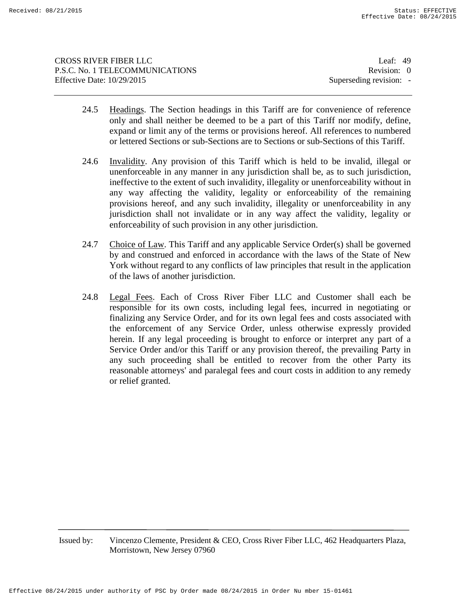| CROSS RIVER FIBER LLC           | Leaf: $49$              |
|---------------------------------|-------------------------|
| P.S.C. No. 1 TELECOMMUNICATIONS | Revision: 0             |
| Effective Date: 10/29/2015      | Superseding revision: - |
|                                 |                         |

- 24.5 Headings. The Section headings in this Tariff are for convenience of reference only and shall neither be deemed to be a part of this Tariff nor modify, define, expand or limit any of the terms or provisions hereof. All references to numbered or lettered Sections or sub-Sections are to Sections or sub-Sections of this Tariff.
- 24.6 Invalidity. Any provision of this Tariff which is held to be invalid, illegal or unenforceable in any manner in any jurisdiction shall be, as to such jurisdiction, ineffective to the extent of such invalidity, illegality or unenforceability without in any way affecting the validity, legality or enforceability of the remaining provisions hereof, and any such invalidity, illegality or unenforceability in any jurisdiction shall not invalidate or in any way affect the validity, legality or enforceability of such provision in any other jurisdiction.
- 24.7 Choice of Law. This Tariff and any applicable Service Order(s) shall be governed by and construed and enforced in accordance with the laws of the State of New York without regard to any conflicts of law principles that result in the application of the laws of another jurisdiction.
- 24.8 Legal Fees. Each of Cross River Fiber LLC and Customer shall each be responsible for its own costs, including legal fees, incurred in negotiating or finalizing any Service Order, and for its own legal fees and costs associated with the enforcement of any Service Order, unless otherwise expressly provided herein. If any legal proceeding is brought to enforce or interpret any part of a Service Order and/or this Tariff or any provision thereof, the prevailing Party in any such proceeding shall be entitled to recover from the other Party its reasonable attorneys' and paralegal fees and court costs in addition to any remedy or relief granted.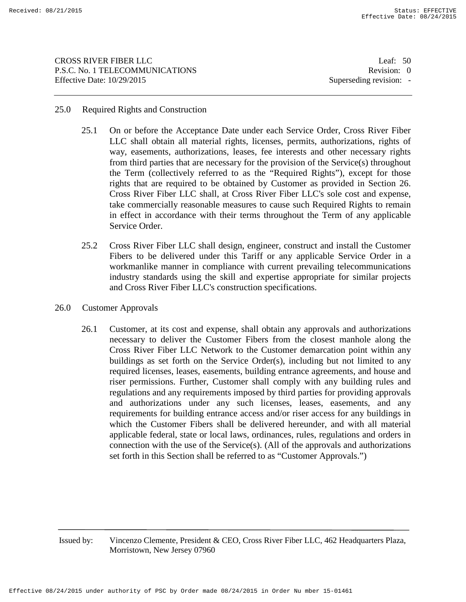CROSS RIVER FIBER LLC Leaf: 50 P.S.C. No. 1 TELECOMMUNICATIONS Revision: 0 Effective Date:  $10/29/2015$  Superseding revision: -

## 25.0 Required Rights and Construction

- 25.1 On or before the Acceptance Date under each Service Order, Cross River Fiber LLC shall obtain all material rights, licenses, permits, authorizations, rights of way, easements, authorizations, leases, fee interests and other necessary rights from third parties that are necessary for the provision of the Service(s) throughout the Term (collectively referred to as the "Required Rights"), except for those rights that are required to be obtained by Customer as provided in Section 26. Cross River Fiber LLC shall, at Cross River Fiber LLC's sole cost and expense, take commercially reasonable measures to cause such Required Rights to remain in effect in accordance with their terms throughout the Term of any applicable Service Order.
- 25.2 Cross River Fiber LLC shall design, engineer, construct and install the Customer Fibers to be delivered under this Tariff or any applicable Service Order in a workmanlike manner in compliance with current prevailing telecommunications industry standards using the skill and expertise appropriate for similar projects and Cross River Fiber LLC's construction specifications.
- 26.0 Customer Approvals
	- 26.1 Customer, at its cost and expense, shall obtain any approvals and authorizations necessary to deliver the Customer Fibers from the closest manhole along the Cross River Fiber LLC Network to the Customer demarcation point within any buildings as set forth on the Service Order(s), including but not limited to any required licenses, leases, easements, building entrance agreements, and house and riser permissions. Further, Customer shall comply with any building rules and regulations and any requirements imposed by third parties for providing approvals and authorizations under any such licenses, leases, easements, and any requirements for building entrance access and/or riser access for any buildings in which the Customer Fibers shall be delivered hereunder, and with all material applicable federal, state or local laws, ordinances, rules, regulations and orders in connection with the use of the Service(s). (All of the approvals and authorizations set forth in this Section shall be referred to as "Customer Approvals.")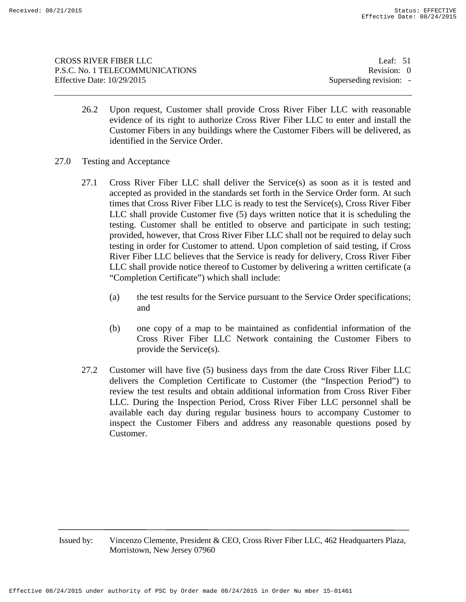| CROSS RIVER FIBER LLC           | Leaf: $51$              |
|---------------------------------|-------------------------|
| P.S.C. No. 1 TELECOMMUNICATIONS | Revision: 0             |
| Effective Date: 10/29/2015      | Superseding revision: - |
|                                 |                         |

- 26.2 Upon request, Customer shall provide Cross River Fiber LLC with reasonable evidence of its right to authorize Cross River Fiber LLC to enter and install the Customer Fibers in any buildings where the Customer Fibers will be delivered, as identified in the Service Order.
- 27.0 Testing and Acceptance
	- 27.1 Cross River Fiber LLC shall deliver the Service(s) as soon as it is tested and accepted as provided in the standards set forth in the Service Order form. At such times that Cross River Fiber LLC is ready to test the Service(s), Cross River Fiber LLC shall provide Customer five (5) days written notice that it is scheduling the testing. Customer shall be entitled to observe and participate in such testing; provided, however, that Cross River Fiber LLC shall not be required to delay such testing in order for Customer to attend. Upon completion of said testing, if Cross River Fiber LLC believes that the Service is ready for delivery, Cross River Fiber LLC shall provide notice thereof to Customer by delivering a written certificate (a "Completion Certificate") which shall include:
		- (a) the test results for the Service pursuant to the Service Order specifications; and
		- (b) one copy of a map to be maintained as confidential information of the Cross River Fiber LLC Network containing the Customer Fibers to provide the Service(s).
	- 27.2 Customer will have five (5) business days from the date Cross River Fiber LLC delivers the Completion Certificate to Customer (the "Inspection Period") to review the test results and obtain additional information from Cross River Fiber LLC. During the Inspection Period, Cross River Fiber LLC personnel shall be available each day during regular business hours to accompany Customer to inspect the Customer Fibers and address any reasonable questions posed by Customer.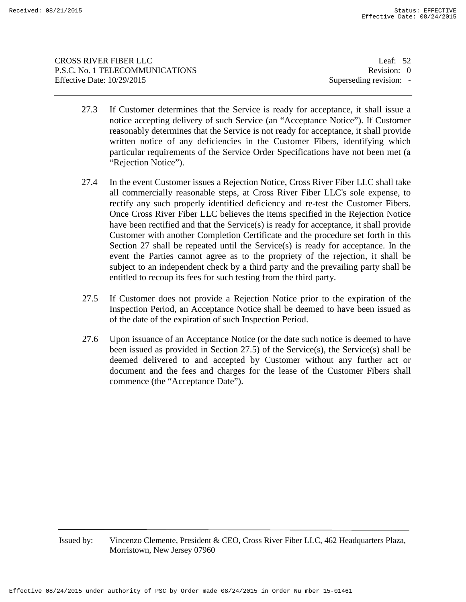CROSS RIVER FIBER LLC Leaf: 52 P.S.C. No. 1 TELECOMMUNICATIONS Revision: 0 Effective Date:  $10/29/2015$  Superseding revision: -

- 27.3 If Customer determines that the Service is ready for acceptance, it shall issue a notice accepting delivery of such Service (an "Acceptance Notice"). If Customer reasonably determines that the Service is not ready for acceptance, it shall provide written notice of any deficiencies in the Customer Fibers, identifying which particular requirements of the Service Order Specifications have not been met (a "Rejection Notice").
- 27.4 In the event Customer issues a Rejection Notice, Cross River Fiber LLC shall take all commercially reasonable steps, at Cross River Fiber LLC's sole expense, to rectify any such properly identified deficiency and re-test the Customer Fibers. Once Cross River Fiber LLC believes the items specified in the Rejection Notice have been rectified and that the Service(s) is ready for acceptance, it shall provide Customer with another Completion Certificate and the procedure set forth in this Section 27 shall be repeated until the Service(s) is ready for acceptance. In the event the Parties cannot agree as to the propriety of the rejection, it shall be subject to an independent check by a third party and the prevailing party shall be entitled to recoup its fees for such testing from the third party.
- 27.5 If Customer does not provide a Rejection Notice prior to the expiration of the Inspection Period, an Acceptance Notice shall be deemed to have been issued as of the date of the expiration of such Inspection Period.
- 27.6 Upon issuance of an Acceptance Notice (or the date such notice is deemed to have been issued as provided in Section 27.5) of the Service(s), the Service(s) shall be deemed delivered to and accepted by Customer without any further act or document and the fees and charges for the lease of the Customer Fibers shall commence (the "Acceptance Date").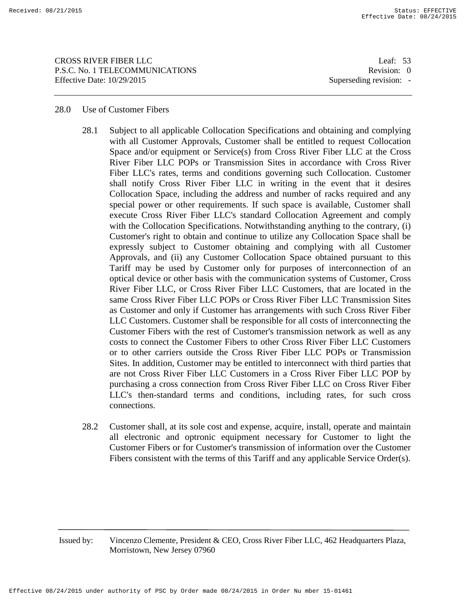CROSS RIVER FIBER LLC Leaf: 53 P.S.C. No. 1 TELECOMMUNICATIONS Revision: 0 Effective Date:  $10/29/2015$  Superseding revision: -

#### 28.0 Use of Customer Fibers

- 28.1 Subject to all applicable Collocation Specifications and obtaining and complying with all Customer Approvals, Customer shall be entitled to request Collocation Space and/or equipment or Service(s) from Cross River Fiber LLC at the Cross River Fiber LLC POPs or Transmission Sites in accordance with Cross River Fiber LLC's rates, terms and conditions governing such Collocation. Customer shall notify Cross River Fiber LLC in writing in the event that it desires Collocation Space, including the address and number of racks required and any special power or other requirements. If such space is available, Customer shall execute Cross River Fiber LLC's standard Collocation Agreement and comply with the Collocation Specifications. Notwithstanding anything to the contrary, (i) Customer's right to obtain and continue to utilize any Collocation Space shall be expressly subject to Customer obtaining and complying with all Customer Approvals, and (ii) any Customer Collocation Space obtained pursuant to this Tariff may be used by Customer only for purposes of interconnection of an optical device or other basis with the communication systems of Customer, Cross River Fiber LLC, or Cross River Fiber LLC Customers, that are located in the same Cross River Fiber LLC POPs or Cross River Fiber LLC Transmission Sites as Customer and only if Customer has arrangements with such Cross River Fiber LLC Customers. Customer shall be responsible for all costs of interconnecting the Customer Fibers with the rest of Customer's transmission network as well as any costs to connect the Customer Fibers to other Cross River Fiber LLC Customers or to other carriers outside the Cross River Fiber LLC POPs or Transmission Sites. In addition, Customer may be entitled to interconnect with third parties that are not Cross River Fiber LLC Customers in a Cross River Fiber LLC POP by purchasing a cross connection from Cross River Fiber LLC on Cross River Fiber LLC's then-standard terms and conditions, including rates, for such cross connections.
- 28.2 Customer shall, at its sole cost and expense, acquire, install, operate and maintain all electronic and optronic equipment necessary for Customer to light the Customer Fibers or for Customer's transmission of information over the Customer Fibers consistent with the terms of this Tariff and any applicable Service Order(s).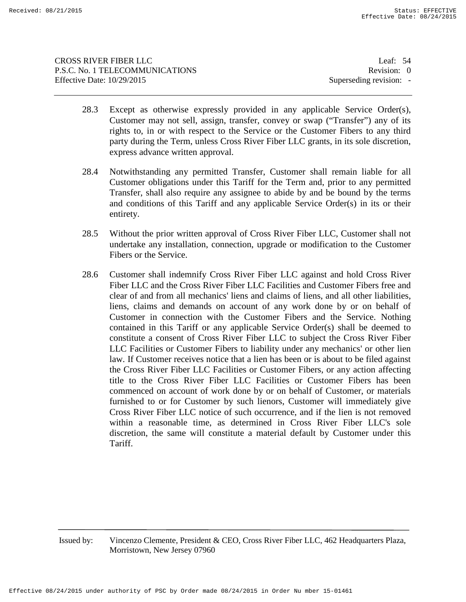| Leaf: $54$              |
|-------------------------|
| Revision: 0             |
| Superseding revision: - |
|                         |

- 28.3 Except as otherwise expressly provided in any applicable Service Order(s), Customer may not sell, assign, transfer, convey or swap ("Transfer") any of its rights to, in or with respect to the Service or the Customer Fibers to any third party during the Term, unless Cross River Fiber LLC grants, in its sole discretion, express advance written approval.
- 28.4 Notwithstanding any permitted Transfer, Customer shall remain liable for all Customer obligations under this Tariff for the Term and, prior to any permitted Transfer, shall also require any assignee to abide by and be bound by the terms and conditions of this Tariff and any applicable Service Order(s) in its or their entirety.
- 28.5 Without the prior written approval of Cross River Fiber LLC, Customer shall not undertake any installation, connection, upgrade or modification to the Customer Fibers or the Service.
- 28.6 Customer shall indemnify Cross River Fiber LLC against and hold Cross River Fiber LLC and the Cross River Fiber LLC Facilities and Customer Fibers free and clear of and from all mechanics' liens and claims of liens, and all other liabilities, liens, claims and demands on account of any work done by or on behalf of Customer in connection with the Customer Fibers and the Service. Nothing contained in this Tariff or any applicable Service Order(s) shall be deemed to constitute a consent of Cross River Fiber LLC to subject the Cross River Fiber LLC Facilities or Customer Fibers to liability under any mechanics' or other lien law. If Customer receives notice that a lien has been or is about to be filed against the Cross River Fiber LLC Facilities or Customer Fibers, or any action affecting title to the Cross River Fiber LLC Facilities or Customer Fibers has been commenced on account of work done by or on behalf of Customer, or materials furnished to or for Customer by such lienors, Customer will immediately give Cross River Fiber LLC notice of such occurrence, and if the lien is not removed within a reasonable time, as determined in Cross River Fiber LLC's sole discretion, the same will constitute a material default by Customer under this Tariff.